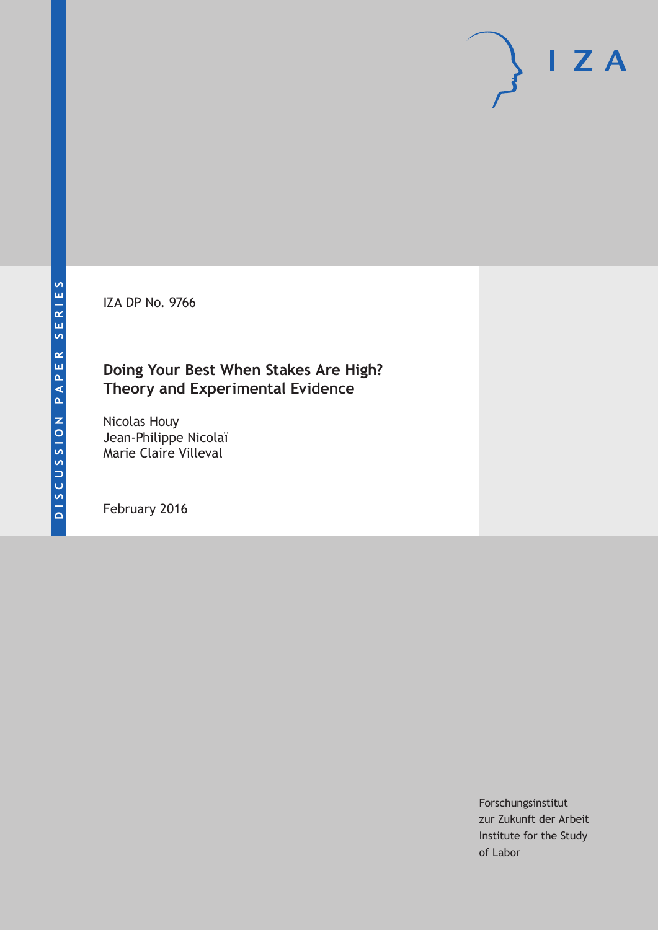IZA DP No. 9766

## **Doing Your Best When Stakes Are High? Theory and Experimental Evidence**

Nicolas Houy Jean-Philippe Nicolaï Marie Claire Villeval

February 2016

Forschungsinstitut zur Zukunft der Arbeit Institute for the Study of Labor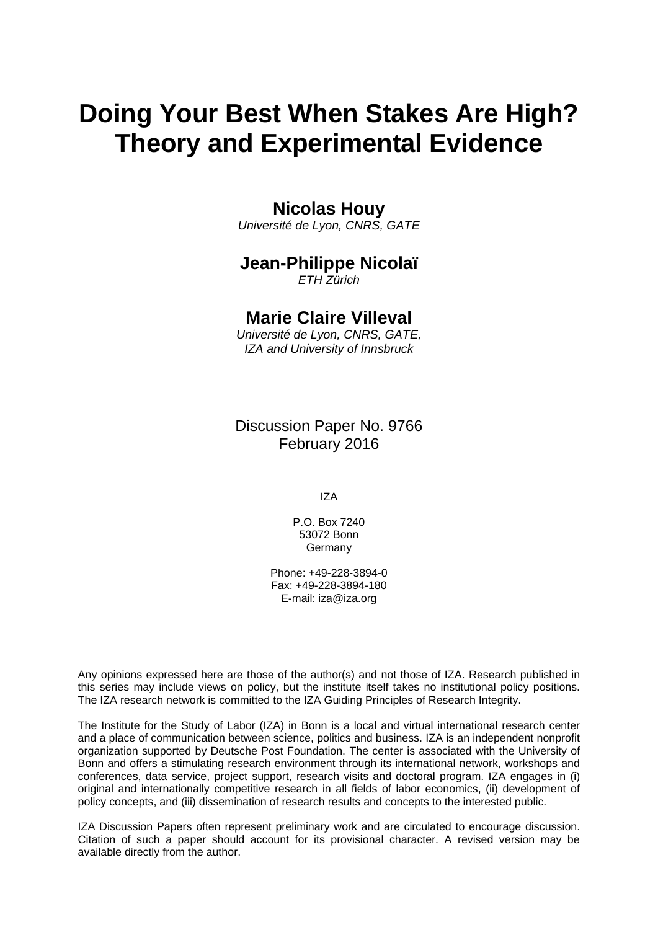# **Doing Your Best When Stakes Are High? Theory and Experimental Evidence**

### **Nicolas Houy**

*Université de Lyon, CNRS, GATE* 

### **Jean-Philippe Nicolaï**

*ETH Zürich* 

### **Marie Claire Villeval**

*Université de Lyon, CNRS, GATE, IZA and University of Innsbruck*

Discussion Paper No. 9766 February 2016

IZA

P.O. Box 7240 53072 Bonn Germany

Phone: +49-228-3894-0 Fax: +49-228-3894-180 E-mail: iza@iza.org

Any opinions expressed here are those of the author(s) and not those of IZA. Research published in this series may include views on policy, but the institute itself takes no institutional policy positions. The IZA research network is committed to the IZA Guiding Principles of Research Integrity.

The Institute for the Study of Labor (IZA) in Bonn is a local and virtual international research center and a place of communication between science, politics and business. IZA is an independent nonprofit organization supported by Deutsche Post Foundation. The center is associated with the University of Bonn and offers a stimulating research environment through its international network, workshops and conferences, data service, project support, research visits and doctoral program. IZA engages in (i) original and internationally competitive research in all fields of labor economics, (ii) development of policy concepts, and (iii) dissemination of research results and concepts to the interested public.

IZA Discussion Papers often represent preliminary work and are circulated to encourage discussion. Citation of such a paper should account for its provisional character. A revised version may be available directly from the author.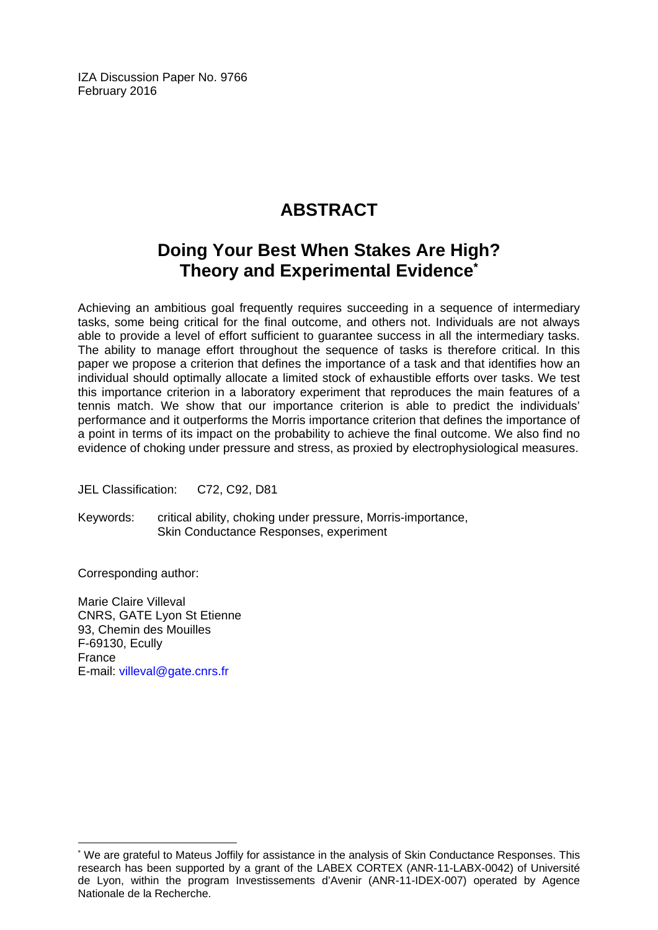IZA Discussion Paper No. 9766 February 2016

## **ABSTRACT**

## **Doing Your Best When Stakes Are High? Theory and Experimental Evidence\***

Achieving an ambitious goal frequently requires succeeding in a sequence of intermediary tasks, some being critical for the final outcome, and others not. Individuals are not always able to provide a level of effort sufficient to guarantee success in all the intermediary tasks. The ability to manage effort throughout the sequence of tasks is therefore critical. In this paper we propose a criterion that defines the importance of a task and that identifies how an individual should optimally allocate a limited stock of exhaustible efforts over tasks. We test this importance criterion in a laboratory experiment that reproduces the main features of a tennis match. We show that our importance criterion is able to predict the individuals' performance and it outperforms the Morris importance criterion that defines the importance of a point in terms of its impact on the probability to achieve the final outcome. We also find no evidence of choking under pressure and stress, as proxied by electrophysiological measures.

JEL Classification: C72, C92, D81

Keywords: critical ability, choking under pressure, Morris-importance, Skin Conductance Responses, experiment

Corresponding author:

 $\overline{\phantom{a}}$ 

Marie Claire Villeval CNRS, GATE Lyon St Etienne 93, Chemin des Mouilles F-69130, Ecully France E-mail: villeval@gate.cnrs.fr

<sup>\*</sup> We are grateful to Mateus Joffily for assistance in the analysis of Skin Conductance Responses. This research has been supported by a grant of the LABEX CORTEX (ANR-11-LABX-0042) of Université de Lyon, within the program Investissements d'Avenir (ANR-11-IDEX-007) operated by Agence Nationale de la Recherche.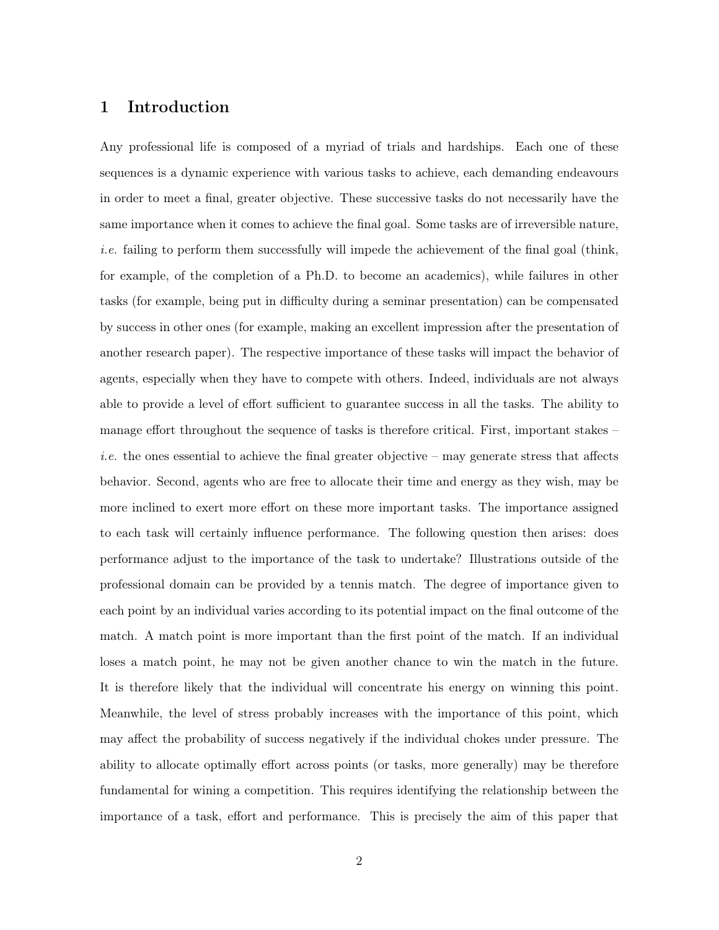#### 1 Introduction

Any professional life is composed of a myriad of trials and hardships. Each one of these sequences is a dynamic experience with various tasks to achieve, each demanding endeavours in order to meet a final, greater objective. These successive tasks do not necessarily have the same importance when it comes to achieve the final goal. Some tasks are of irreversible nature, *i.e.* failing to perform them successfully will impede the achievement of the final goal (think, for example, of the completion of a Ph.D. to become an academics), while failures in other tasks (for example, being put in difficulty during a seminar presentation) can be compensated by success in other ones (for example, making an excellent impression after the presentation of another research paper). The respective importance of these tasks will impact the behavior of agents, especially when they have to compete with others. Indeed, individuals are not always able to provide a level of effort sufficient to guarantee success in all the tasks. The ability to manage effort throughout the sequence of tasks is therefore critical. First, important stakes – *i.e.* the ones essential to achieve the final greater objective – may generate stress that affects behavior. Second, agents who are free to allocate their time and energy as they wish, may be more inclined to exert more effort on these more important tasks. The importance assigned to each task will certainly influence performance. The following question then arises: does performance adjust to the importance of the task to undertake? Illustrations outside of the professional domain can be provided by a tennis match. The degree of importance given to each point by an individual varies according to its potential impact on the final outcome of the match. A match point is more important than the first point of the match. If an individual loses a match point, he may not be given another chance to win the match in the future. It is therefore likely that the individual will concentrate his energy on winning this point. Meanwhile, the level of stress probably increases with the importance of this point, which may affect the probability of success negatively if the individual chokes under pressure. The ability to allocate optimally effort across points (or tasks, more generally) may be therefore fundamental for wining a competition. This requires identifying the relationship between the importance of a task, effort and performance. This is precisely the aim of this paper that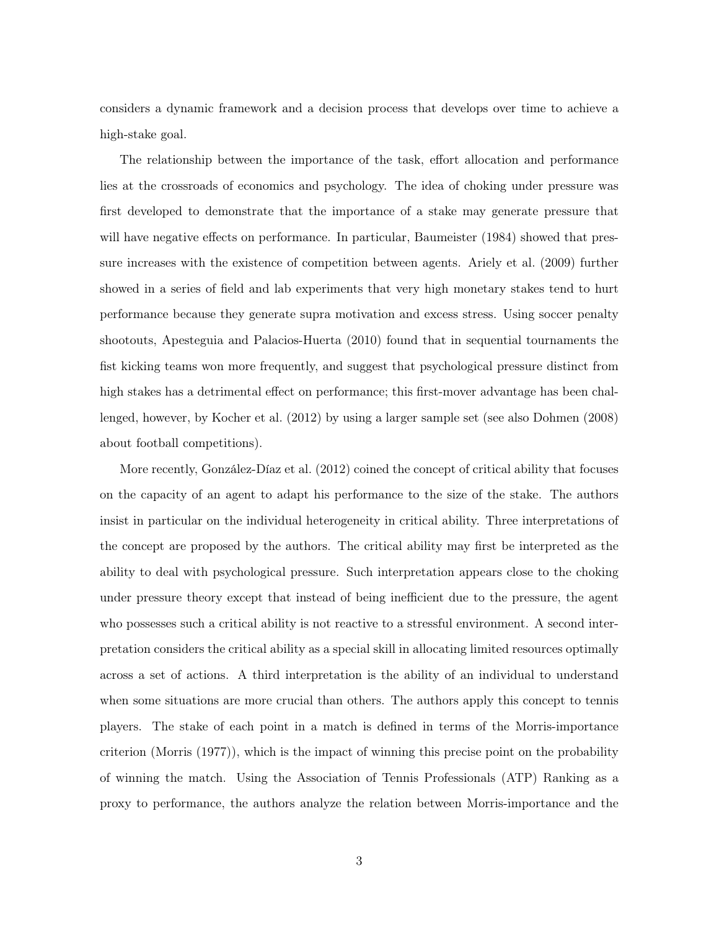considers a dynamic framework and a decision process that develops over time to achieve a high-stake goal.

The relationship between the importance of the task, effort allocation and performance lies at the crossroads of economics and psychology. The idea of choking under pressure was first developed to demonstrate that the importance of a stake may generate pressure that will have negative effects on performance. In particular, Baumeister (1984) showed that pressure increases with the existence of competition between agents. Ariely et al. (2009) further showed in a series of field and lab experiments that very high monetary stakes tend to hurt performance because they generate supra motivation and excess stress. Using soccer penalty shootouts, Apesteguia and Palacios-Huerta (2010) found that in sequential tournaments the fist kicking teams won more frequently, and suggest that psychological pressure distinct from high stakes has a detrimental effect on performance; this first-mover advantage has been challenged, however, by Kocher et al. (2012) by using a larger sample set (see also Dohmen (2008) about football competitions).

More recently, González-Díaz et al. (2012) coined the concept of critical ability that focuses on the capacity of an agent to adapt his performance to the size of the stake. The authors insist in particular on the individual heterogeneity in critical ability. Three interpretations of the concept are proposed by the authors. The critical ability may first be interpreted as the ability to deal with psychological pressure. Such interpretation appears close to the choking under pressure theory except that instead of being inefficient due to the pressure, the agent who possesses such a critical ability is not reactive to a stressful environment. A second interpretation considers the critical ability as a special skill in allocating limited resources optimally across a set of actions. A third interpretation is the ability of an individual to understand when some situations are more crucial than others. The authors apply this concept to tennis players. The stake of each point in a match is defined in terms of the Morris-importance criterion (Morris (1977)), which is the impact of winning this precise point on the probability of winning the match. Using the Association of Tennis Professionals (ATP) Ranking as a proxy to performance, the authors analyze the relation between Morris-importance and the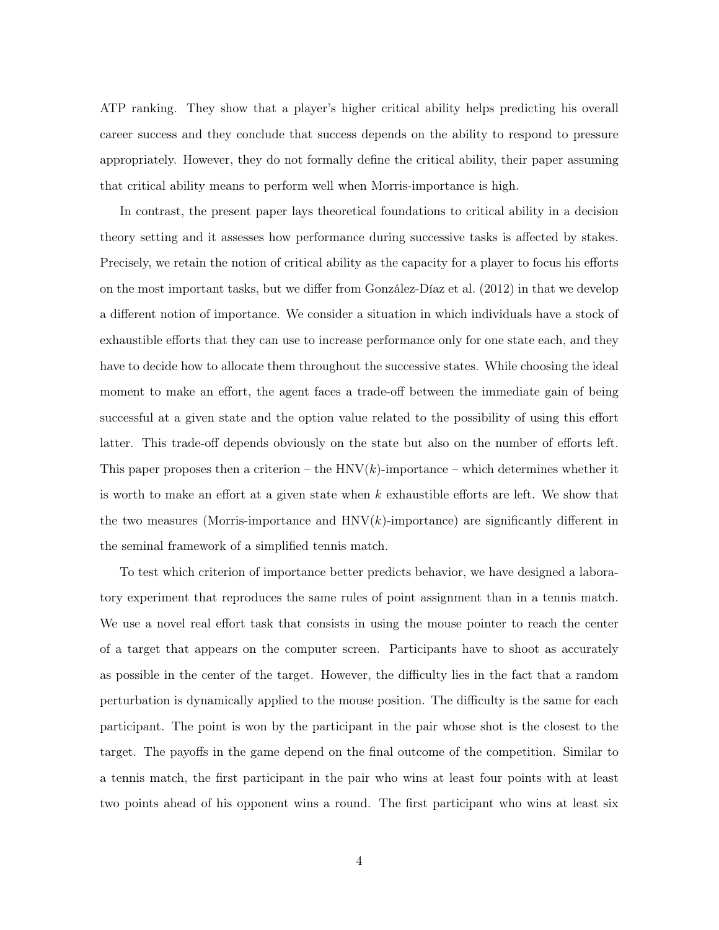ATP ranking. They show that a player's higher critical ability helps predicting his overall career success and they conclude that success depends on the ability to respond to pressure appropriately. However, they do not formally define the critical ability, their paper assuming that critical ability means to perform well when Morris-importance is high.

In contrast, the present paper lays theoretical foundations to critical ability in a decision theory setting and it assesses how performance during successive tasks is affected by stakes. Precisely, we retain the notion of critical ability as the capacity for a player to focus his efforts on the most important tasks, but we differ from González-Díaz et al. (2012) in that we develop a different notion of importance. We consider a situation in which individuals have a stock of exhaustible efforts that they can use to increase performance only for one state each, and they have to decide how to allocate them throughout the successive states. While choosing the ideal moment to make an effort, the agent faces a trade-off between the immediate gain of being successful at a given state and the option value related to the possibility of using this effort latter. This trade-off depends obviously on the state but also on the number of efforts left. This paper proposes then a criterion – the  $HNV(k)$ -importance – which determines whether it is worth to make an effort at a given state when  $k$  exhaustible efforts are left. We show that the two measures (Morris-importance and  $HNV(k)$ -importance) are significantly different in the seminal framework of a simplified tennis match.

To test which criterion of importance better predicts behavior, we have designed a laboratory experiment that reproduces the same rules of point assignment than in a tennis match. We use a novel real effort task that consists in using the mouse pointer to reach the center of a target that appears on the computer screen. Participants have to shoot as accurately as possible in the center of the target. However, the difficulty lies in the fact that a random perturbation is dynamically applied to the mouse position. The difficulty is the same for each participant. The point is won by the participant in the pair whose shot is the closest to the target. The payoffs in the game depend on the final outcome of the competition. Similar to a tennis match, the first participant in the pair who wins at least four points with at least two points ahead of his opponent wins a round. The first participant who wins at least six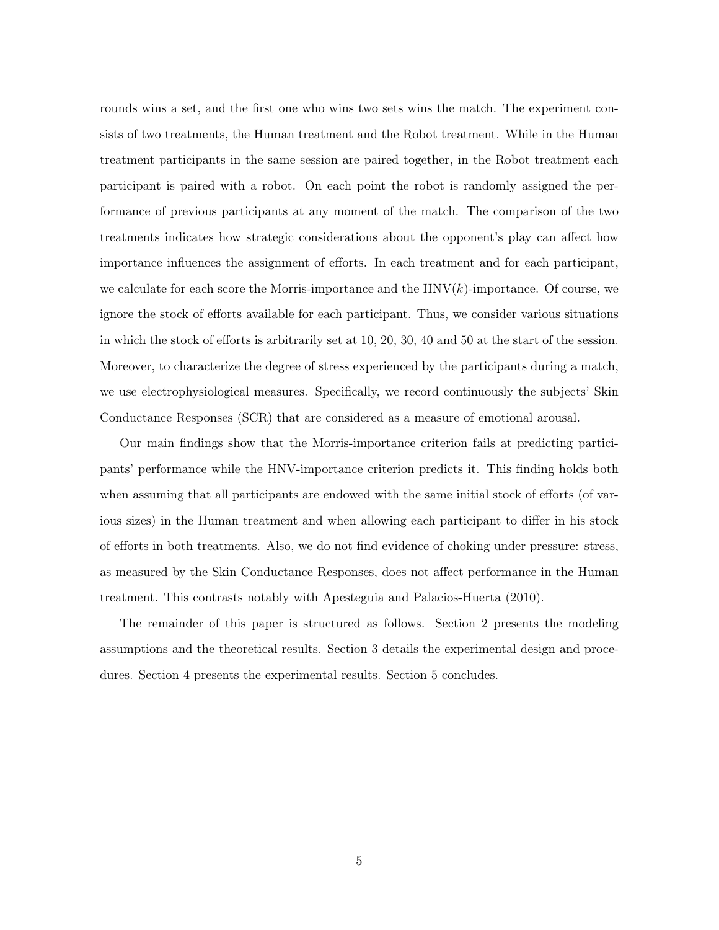rounds wins a set, and the first one who wins two sets wins the match. The experiment consists of two treatments, the Human treatment and the Robot treatment. While in the Human treatment participants in the same session are paired together, in the Robot treatment each participant is paired with a robot. On each point the robot is randomly assigned the performance of previous participants at any moment of the match. The comparison of the two treatments indicates how strategic considerations about the opponent's play can affect how importance influences the assignment of efforts. In each treatment and for each participant, we calculate for each score the Morris-importance and the  $HNV(k)$ -importance. Of course, we ignore the stock of efforts available for each participant. Thus, we consider various situations in which the stock of efforts is arbitrarily set at 10, 20, 30, 40 and 50 at the start of the session. Moreover, to characterize the degree of stress experienced by the participants during a match, we use electrophysiological measures. Specifically, we record continuously the subjects' Skin Conductance Responses (SCR) that are considered as a measure of emotional arousal.

Our main findings show that the Morris-importance criterion fails at predicting participants' performance while the HNV-importance criterion predicts it. This finding holds both when assuming that all participants are endowed with the same initial stock of efforts (of various sizes) in the Human treatment and when allowing each participant to differ in his stock of efforts in both treatments. Also, we do not find evidence of choking under pressure: stress, as measured by the Skin Conductance Responses, does not affect performance in the Human treatment. This contrasts notably with Apesteguia and Palacios-Huerta (2010).

The remainder of this paper is structured as follows. Section 2 presents the modeling assumptions and the theoretical results. Section 3 details the experimental design and procedures. Section 4 presents the experimental results. Section 5 concludes.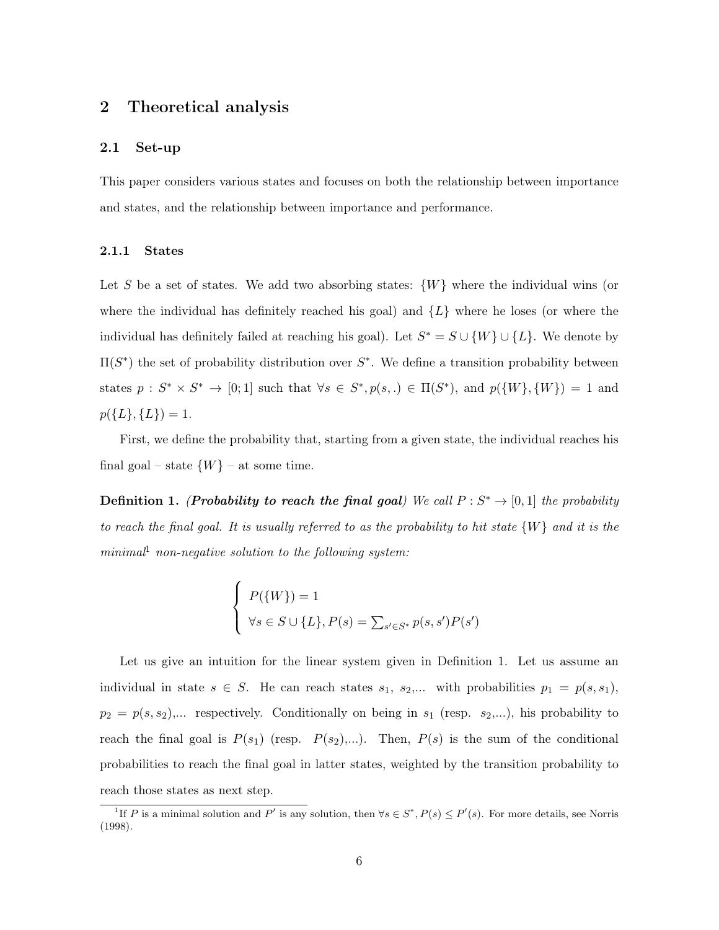#### 2 Theoretical analysis

#### 2.1 Set-up

This paper considers various states and focuses on both the relationship between importance and states, and the relationship between importance and performance.

#### 2.1.1 States

Let S be a set of states. We add two absorbing states:  $\{W\}$  where the individual wins (or where the individual has definitely reached his goal) and  $\{L\}$  where he loses (or where the individual has definitely failed at reaching his goal). Let  $S^* = S \cup \{W\} \cup \{L\}$ . We denote by  $\Pi(S^*)$  the set of probability distribution over  $S^*$ . We define a transition probability between states  $p: S^* \times S^* \to [0;1]$  such that  $\forall s \in S^*, p(s,.) \in \Pi(S^*)$ , and  $p({W}, \{W\}) = 1$  and  $p(\{L\},\{L\})=1.$ 

First, we define the probability that, starting from a given state, the individual reaches his final goal – state  $\{W\}$  – at some time.

**Definition 1.** (*Probability to reach the final goal*) We call  $P: S^* \to [0, 1]$  the probability to reach the final goal. It is usually referred to as the probability to hit state  $\{W\}$  and it is the  $minimal<sup>1</sup>$  non-negative solution to the following system:

$$
\begin{cases}\nP(\{W\}) = 1 \\
\forall s \in S \cup \{L\}, P(s) = \sum_{s' \in S^*} p(s, s')P(s')\n\end{cases}
$$

Let us give an intuition for the linear system given in Definition 1. Let us assume an individual in state  $s \in S$ . He can reach states  $s_1, s_2,...$  with probabilities  $p_1 = p(s, s_1)$ ,  $p_2 = p(s, s_2),...$  respectively. Conditionally on being in  $s_1$  (resp.  $s_2,...$ ), his probability to reach the final goal is  $P(s_1)$  (resp.  $P(s_2),...$ ). Then,  $P(s)$  is the sum of the conditional probabilities to reach the final goal in latter states, weighted by the transition probability to reach those states as next step.

<sup>&</sup>lt;sup>1</sup>If P is a minimal solution and P' is any solution, then  $\forall s \in S^*, P(s) \leq P'(s)$ . For more details, see Norris (1998).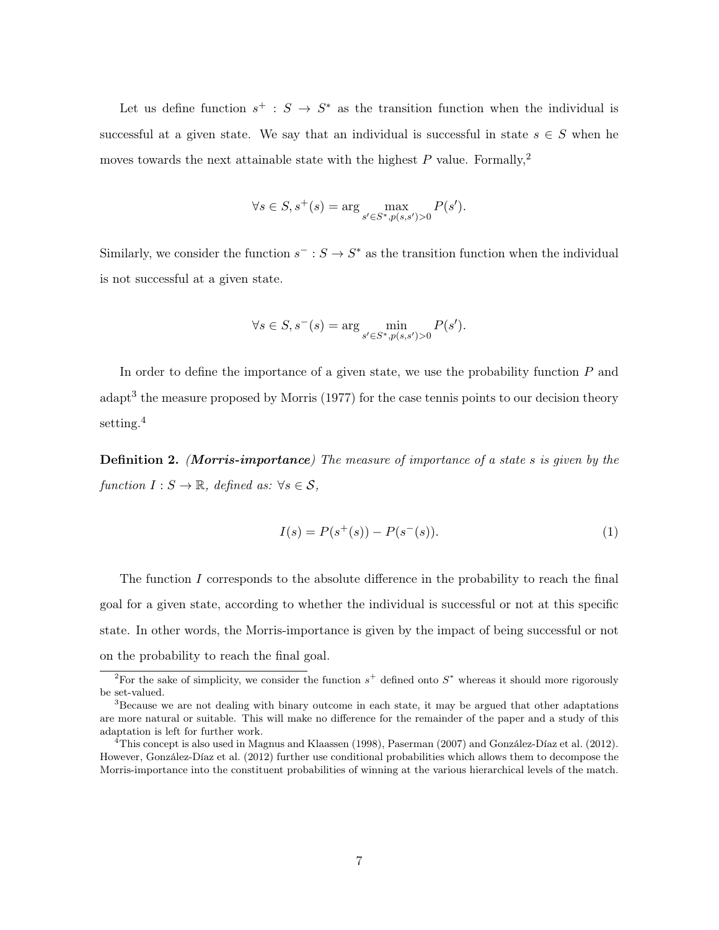Let us define function  $s^+ : S \to S^*$  as the transition function when the individual is successful at a given state. We say that an individual is successful in state  $s \in S$  when he moves towards the next attainable state with the highest  $P$  value. Formally,<sup>2</sup>

$$
\forall s \in S, s^+(s) = \arg \max_{s' \in S^*, p(s, s') > 0} P(s').
$$

Similarly, we consider the function  $s^- : S \to S^*$  as the transition function when the individual is not successful at a given state.

$$
\forall s \in S, s^{-}(s) = \arg \min_{s' \in S^*, p(s, s') > 0} P(s').
$$

In order to define the importance of a given state, we use the probability function  $P$  and adapt<sup>3</sup> the measure proposed by Morris (1977) for the case tennis points to our decision theory setting.<sup>4</sup>

Definition 2. (Morris-importance) The measure of importance of a state s is given by the function  $I: S \to \mathbb{R}$ , defined as:  $\forall s \in S$ ,

$$
I(s) = P(s^+(s)) - P(s^-(s)).
$$
\n(1)

The function I corresponds to the absolute difference in the probability to reach the final goal for a given state, according to whether the individual is successful or not at this specific state. In other words, the Morris-importance is given by the impact of being successful or not on the probability to reach the final goal.

<sup>&</sup>lt;sup>2</sup>For the sake of simplicity, we consider the function  $s^+$  defined onto  $S^*$  whereas it should more rigorously be set-valued.

<sup>3</sup>Because we are not dealing with binary outcome in each state, it may be argued that other adaptations are more natural or suitable. This will make no difference for the remainder of the paper and a study of this adaptation is left for further work.

 $^{4}$ This concept is also used in Magnus and Klaassen (1998), Paserman (2007) and González-Díaz et al. (2012). However, González-Díaz et al. (2012) further use conditional probabilities which allows them to decompose the Morris-importance into the constituent probabilities of winning at the various hierarchical levels of the match.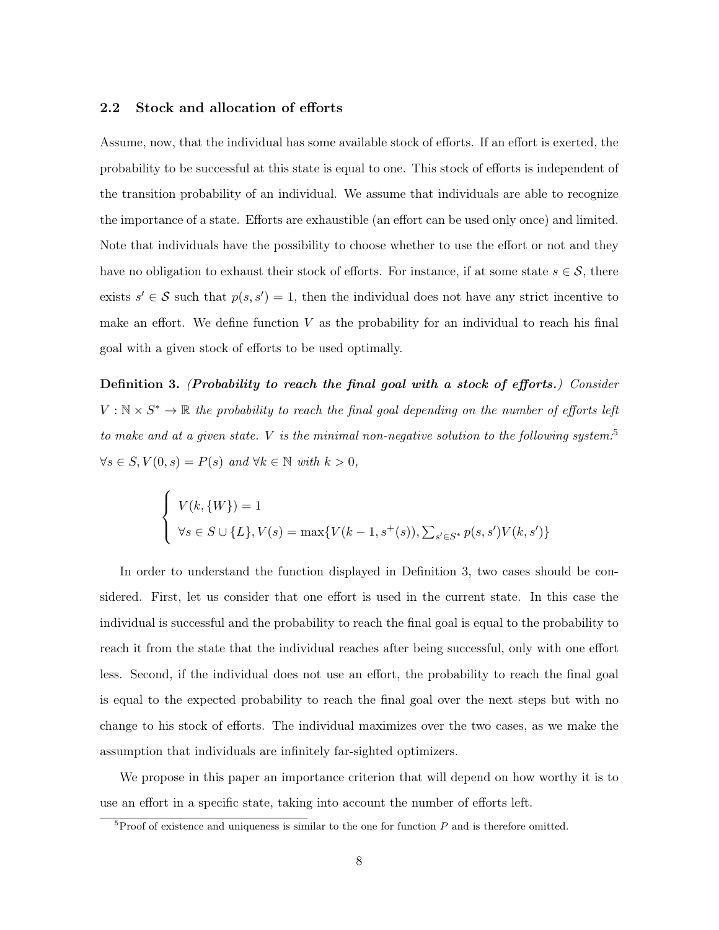#### 2.2 Stock and allocation of efforts

Assume, now, that the individual has some available stock of efforts. If an effort is exerted, the probability to be successful at this state is equal to one. This stock of efforts is independent of the transition probability of an individual. We assume that individuals are able to recognize the importance of a state. Efforts are exhaustible (an effort can be used only once) and limited. Note that individuals have the possibility to choose whether to use the effort or not and they have no obligation to exhaust their stock of efforts. For instance, if at some state  $s \in \mathcal{S}$ , there exists  $s' \in \mathcal{S}$  such that  $p(s, s') = 1$ , then the individual does not have any strict incentive to make an effort. We define function  $V$  as the probability for an individual to reach his final goal with a given stock of efforts to be used optimally.

Definition 3. (Probability to reach the final goal with a stock of efforts.) Consider  $V : \mathbb{N} \times S^* \to \mathbb{R}$  the probability to reach the final goal depending on the number of efforts left to make and at a given state. V is the minimal non-negative solution to the following system:<sup>5</sup>  $\forall s \in S, V(0, s) = P(s)$  and  $\forall k \in \mathbb{N}$  with  $k > 0$ ,

$$
\begin{cases} V(k, \{W\}) = 1 \\ \forall s \in S \cup \{L\}, V(s) = \max\{V(k-1, s^+(s)), \sum_{s' \in S^*} p(s, s')V(k, s')\} \end{cases}
$$

In order to understand the function displayed in Definition 3, two cases should be considered. First, let us consider that one effort is used in the current state. In this case the individual is successful and the probability to reach the final goal is equal to the probability to reach it from the state that the individual reaches after being successful, only with one effort less. Second, if the individual does not use an effort, the probability to reach the final goal is equal to the expected probability to reach the final goal over the next steps but with no change to his stock of efforts. The individual maximizes over the two cases, as we make the assumption that individuals are infinitely far-sighted optimizers.

We propose in this paper an importance criterion that will depend on how worthy it is to use an effort in a specific state, taking into account the number of efforts left.

 ${}^{5}$ Proof of existence and uniqueness is similar to the one for function P and is therefore omitted.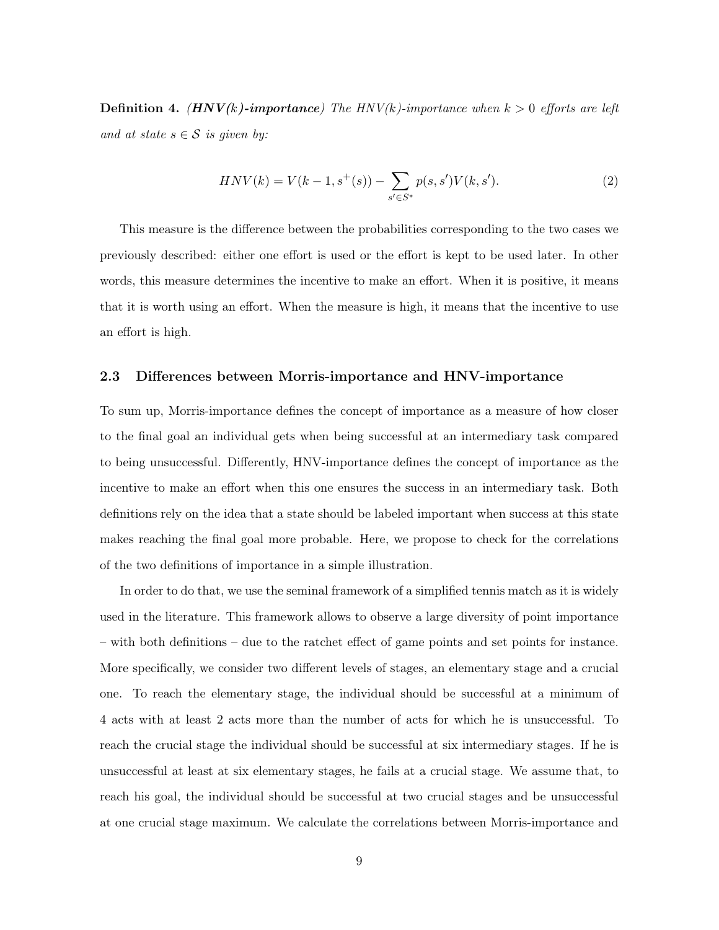**Definition 4.** (HNV(k)-importance) The HNV(k)-importance when  $k > 0$  efforts are left and at state  $s \in \mathcal{S}$  is given by:

$$
HNV(k) = V(k-1, s^+(s)) - \sum_{s' \in S^*} p(s, s')V(k, s').
$$
\n(2)

This measure is the difference between the probabilities corresponding to the two cases we previously described: either one effort is used or the effort is kept to be used later. In other words, this measure determines the incentive to make an effort. When it is positive, it means that it is worth using an effort. When the measure is high, it means that the incentive to use an effort is high.

#### 2.3 Differences between Morris-importance and HNV-importance

To sum up, Morris-importance defines the concept of importance as a measure of how closer to the final goal an individual gets when being successful at an intermediary task compared to being unsuccessful. Differently, HNV-importance defines the concept of importance as the incentive to make an effort when this one ensures the success in an intermediary task. Both definitions rely on the idea that a state should be labeled important when success at this state makes reaching the final goal more probable. Here, we propose to check for the correlations of the two definitions of importance in a simple illustration.

In order to do that, we use the seminal framework of a simplified tennis match as it is widely used in the literature. This framework allows to observe a large diversity of point importance – with both definitions – due to the ratchet effect of game points and set points for instance. More specifically, we consider two different levels of stages, an elementary stage and a crucial one. To reach the elementary stage, the individual should be successful at a minimum of 4 acts with at least 2 acts more than the number of acts for which he is unsuccessful. To reach the crucial stage the individual should be successful at six intermediary stages. If he is unsuccessful at least at six elementary stages, he fails at a crucial stage. We assume that, to reach his goal, the individual should be successful at two crucial stages and be unsuccessful at one crucial stage maximum. We calculate the correlations between Morris-importance and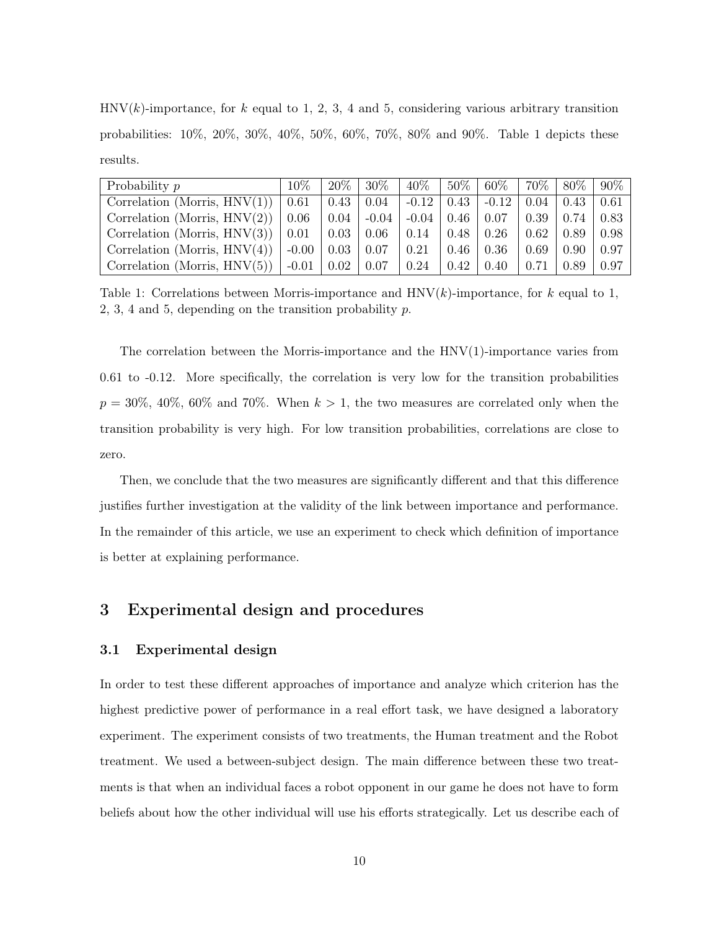$HNV(k)$ -importance, for k equal to 1, 2, 3, 4 and 5, considering various arbitrary transition probabilities: 10%, 20%, 30%, 40%, 50%, 60%, 70%, 80% and 90%. Table 1 depicts these results.

| Probability p                   | $10\%$   | $-20\%$            | $30\%$  | $40\%$                        | $\frac{50\%}{20\%}$ | $60\%$           | $170\%$ 1 | $+80\%$    | $90\%$ |
|---------------------------------|----------|--------------------|---------|-------------------------------|---------------------|------------------|-----------|------------|--------|
| Correlation (Morris, $HNV(1)$ ) | 0.61     | 0.43               | 0.04    | $-0.12$                       | 0.43                | $+0.12$          | 0.04      | $\pm 0.43$ | 0.61   |
| Correlation (Morris, $HNV(2)$ ) | $0.06\,$ | $\vert 0.04 \vert$ | $-0.04$ | $-0.04 \pm 0.46$              |                     | $\mid 0.07 \mid$ | 0.39      | 0.74       | 0.83   |
| Correlation (Morris, $HNV(3)$ ) | 0.01     | $\mid$ 0.03 $\mid$ | 0.06    | $\vert 0.14 \vert 0.48 \vert$ |                     | 0.26             | 0.62      | 0.89       | 0.98   |
| Correlation (Morris, $HNV(4)$ ) | $-0.00$  | 0.03               | 0.07    | 0.21                          | $0.46\,$            | 0.36             | 0.69      | 0.90       | 0.97   |
| Correlation (Morris, $HNV(5)$ ) | $-0.01$  | 0.02               | 0.07    | 0.24                          | $\pm 0.42$          | 0.40             | 0.71      | 0.89       | 0.97   |

Table 1: Correlations between Morris-importance and  $HNV(k)$ -importance, for k equal to 1, 2, 3, 4 and 5, depending on the transition probability  $p$ .

The correlation between the Morris-importance and the HNV(1)-importance varies from 0.61 to -0.12. More specifically, the correlation is very low for the transition probabilities  $p = 30\%, 40\%, 60\%$  and 70%. When  $k > 1$ , the two measures are correlated only when the transition probability is very high. For low transition probabilities, correlations are close to zero.

Then, we conclude that the two measures are significantly different and that this difference justifies further investigation at the validity of the link between importance and performance. In the remainder of this article, we use an experiment to check which definition of importance is better at explaining performance.

#### 3 Experimental design and procedures

#### 3.1 Experimental design

In order to test these different approaches of importance and analyze which criterion has the highest predictive power of performance in a real effort task, we have designed a laboratory experiment. The experiment consists of two treatments, the Human treatment and the Robot treatment. We used a between-subject design. The main difference between these two treatments is that when an individual faces a robot opponent in our game he does not have to form beliefs about how the other individual will use his efforts strategically. Let us describe each of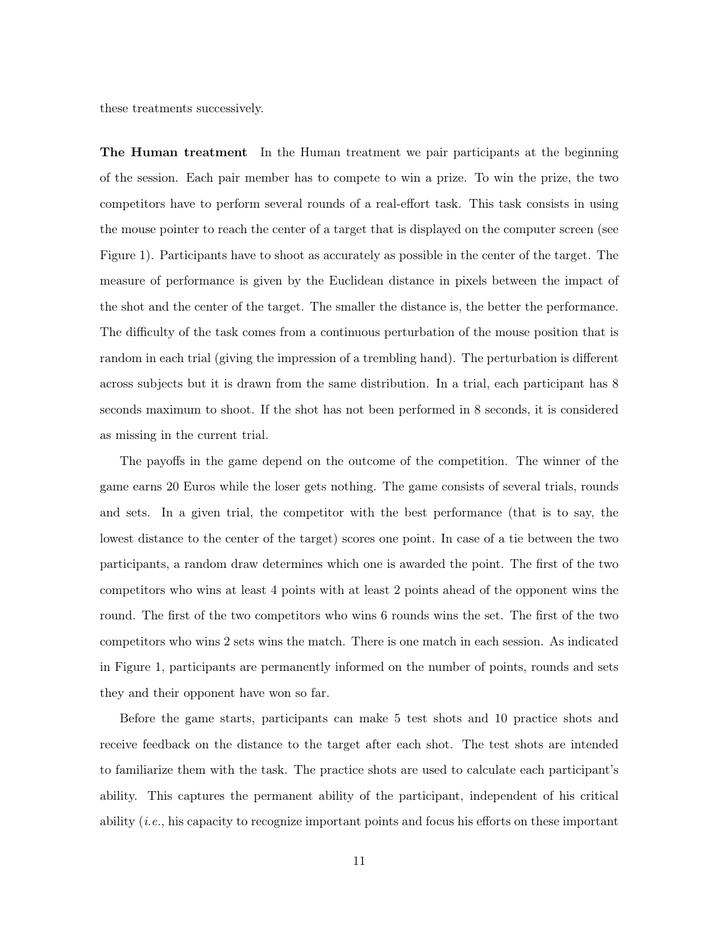these treatments successively.

The Human treatment In the Human treatment we pair participants at the beginning of the session. Each pair member has to compete to win a prize. To win the prize, the two competitors have to perform several rounds of a real-effort task. This task consists in using the mouse pointer to reach the center of a target that is displayed on the computer screen (see Figure 1). Participants have to shoot as accurately as possible in the center of the target. The measure of performance is given by the Euclidean distance in pixels between the impact of the shot and the center of the target. The smaller the distance is, the better the performance. The difficulty of the task comes from a continuous perturbation of the mouse position that is random in each trial (giving the impression of a trembling hand). The perturbation is different across subjects but it is drawn from the same distribution. In a trial, each participant has 8 seconds maximum to shoot. If the shot has not been performed in 8 seconds, it is considered as missing in the current trial.

The payoffs in the game depend on the outcome of the competition. The winner of the game earns 20 Euros while the loser gets nothing. The game consists of several trials, rounds and sets. In a given trial, the competitor with the best performance (that is to say, the lowest distance to the center of the target) scores one point. In case of a tie between the two participants, a random draw determines which one is awarded the point. The first of the two competitors who wins at least 4 points with at least 2 points ahead of the opponent wins the round. The first of the two competitors who wins 6 rounds wins the set. The first of the two competitors who wins 2 sets wins the match. There is one match in each session. As indicated in Figure 1, participants are permanently informed on the number of points, rounds and sets they and their opponent have won so far.

Before the game starts, participants can make 5 test shots and 10 practice shots and receive feedback on the distance to the target after each shot. The test shots are intended to familiarize them with the task. The practice shots are used to calculate each participant's ability. This captures the permanent ability of the participant, independent of his critical ability (i.e., his capacity to recognize important points and focus his efforts on these important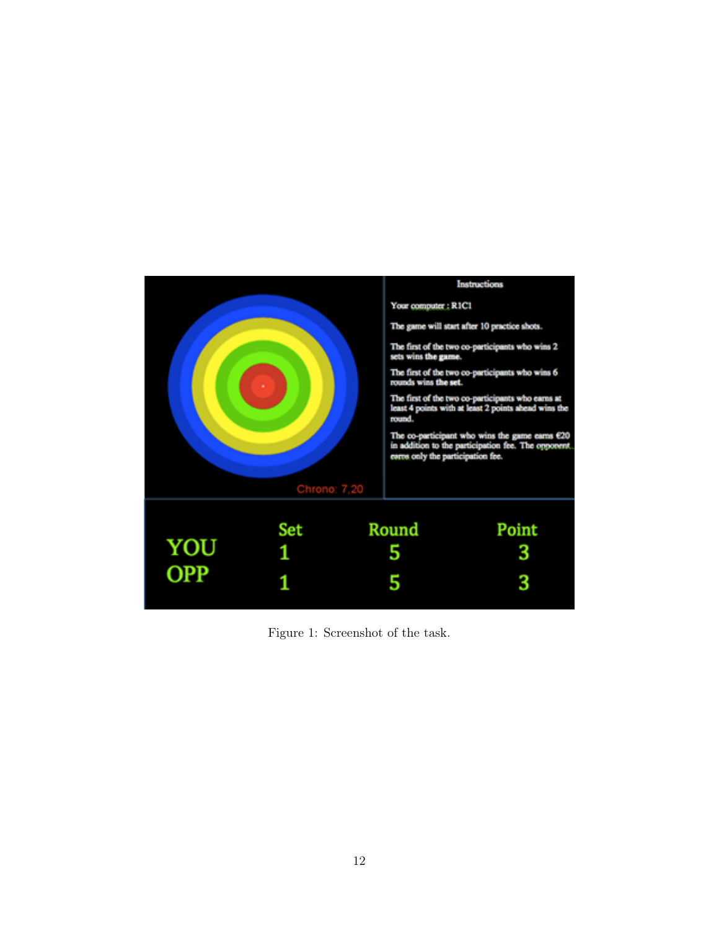

Figure 1: Screenshot of the task.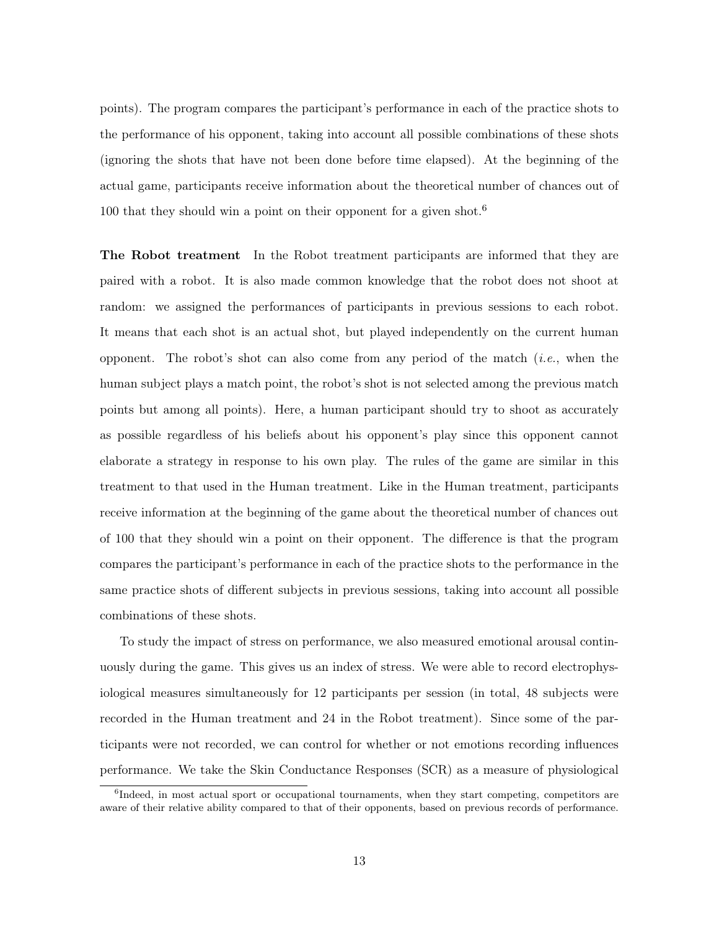points). The program compares the participant's performance in each of the practice shots to the performance of his opponent, taking into account all possible combinations of these shots (ignoring the shots that have not been done before time elapsed). At the beginning of the actual game, participants receive information about the theoretical number of chances out of 100 that they should win a point on their opponent for a given shot.<sup>6</sup>

The Robot treatment In the Robot treatment participants are informed that they are paired with a robot. It is also made common knowledge that the robot does not shoot at random: we assigned the performances of participants in previous sessions to each robot. It means that each shot is an actual shot, but played independently on the current human opponent. The robot's shot can also come from any period of the match  $(i.e.,$  when the human subject plays a match point, the robot's shot is not selected among the previous match points but among all points). Here, a human participant should try to shoot as accurately as possible regardless of his beliefs about his opponent's play since this opponent cannot elaborate a strategy in response to his own play. The rules of the game are similar in this treatment to that used in the Human treatment. Like in the Human treatment, participants receive information at the beginning of the game about the theoretical number of chances out of 100 that they should win a point on their opponent. The difference is that the program compares the participant's performance in each of the practice shots to the performance in the same practice shots of different subjects in previous sessions, taking into account all possible combinations of these shots.

To study the impact of stress on performance, we also measured emotional arousal continuously during the game. This gives us an index of stress. We were able to record electrophysiological measures simultaneously for 12 participants per session (in total, 48 subjects were recorded in the Human treatment and 24 in the Robot treatment). Since some of the participants were not recorded, we can control for whether or not emotions recording influences performance. We take the Skin Conductance Responses (SCR) as a measure of physiological

<sup>&</sup>lt;sup>6</sup>Indeed, in most actual sport or occupational tournaments, when they start competing, competitors are aware of their relative ability compared to that of their opponents, based on previous records of performance.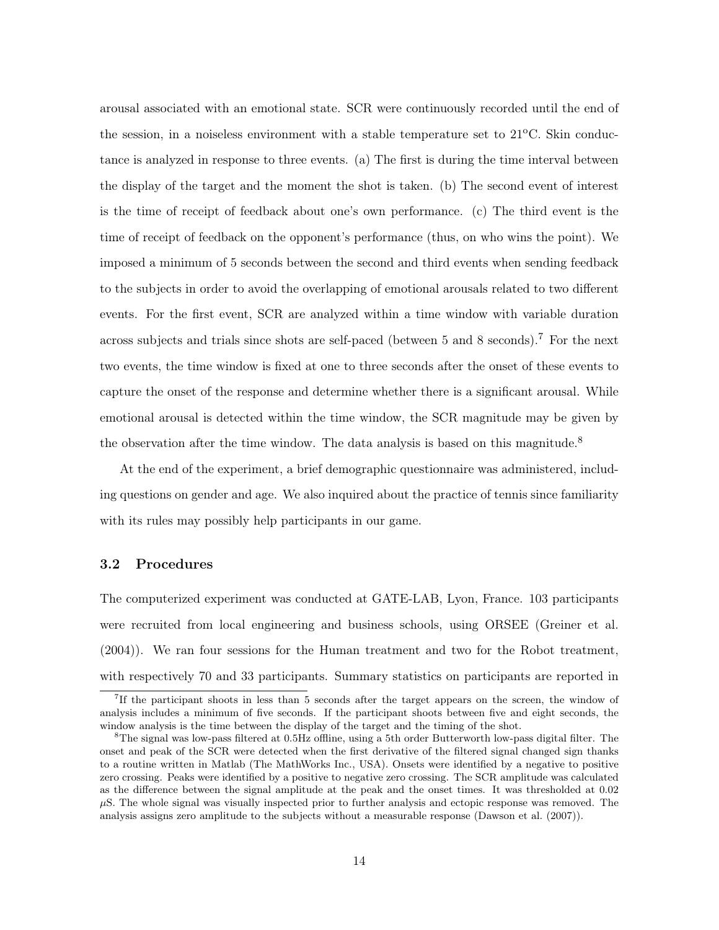arousal associated with an emotional state. SCR were continuously recorded until the end of the session, in a noiseless environment with a stable temperature set to  $21^{\circ}$ C. Skin conductance is analyzed in response to three events. (a) The first is during the time interval between the display of the target and the moment the shot is taken. (b) The second event of interest is the time of receipt of feedback about one's own performance. (c) The third event is the time of receipt of feedback on the opponent's performance (thus, on who wins the point). We imposed a minimum of 5 seconds between the second and third events when sending feedback to the subjects in order to avoid the overlapping of emotional arousals related to two different events. For the first event, SCR are analyzed within a time window with variable duration across subjects and trials since shots are self-paced (between 5 and 8 seconds).<sup>7</sup> For the next two events, the time window is fixed at one to three seconds after the onset of these events to capture the onset of the response and determine whether there is a significant arousal. While emotional arousal is detected within the time window, the SCR magnitude may be given by the observation after the time window. The data analysis is based on this magnitude.<sup>8</sup>

At the end of the experiment, a brief demographic questionnaire was administered, including questions on gender and age. We also inquired about the practice of tennis since familiarity with its rules may possibly help participants in our game.

#### 3.2 Procedures

The computerized experiment was conducted at GATE-LAB, Lyon, France. 103 participants were recruited from local engineering and business schools, using ORSEE (Greiner et al. (2004)). We ran four sessions for the Human treatment and two for the Robot treatment, with respectively 70 and 33 participants. Summary statistics on participants are reported in

<sup>7</sup> If the participant shoots in less than 5 seconds after the target appears on the screen, the window of analysis includes a minimum of five seconds. If the participant shoots between five and eight seconds, the window analysis is the time between the display of the target and the timing of the shot.

<sup>8</sup>The signal was low-pass filtered at 0.5Hz offline, using a 5th order Butterworth low-pass digital filter. The onset and peak of the SCR were detected when the first derivative of the filtered signal changed sign thanks to a routine written in Matlab (The MathWorks Inc., USA). Onsets were identified by a negative to positive zero crossing. Peaks were identified by a positive to negative zero crossing. The SCR amplitude was calculated as the difference between the signal amplitude at the peak and the onset times. It was thresholded at 0.02  $\mu$ S. The whole signal was visually inspected prior to further analysis and ectopic response was removed. The analysis assigns zero amplitude to the subjects without a measurable response (Dawson et al. (2007)).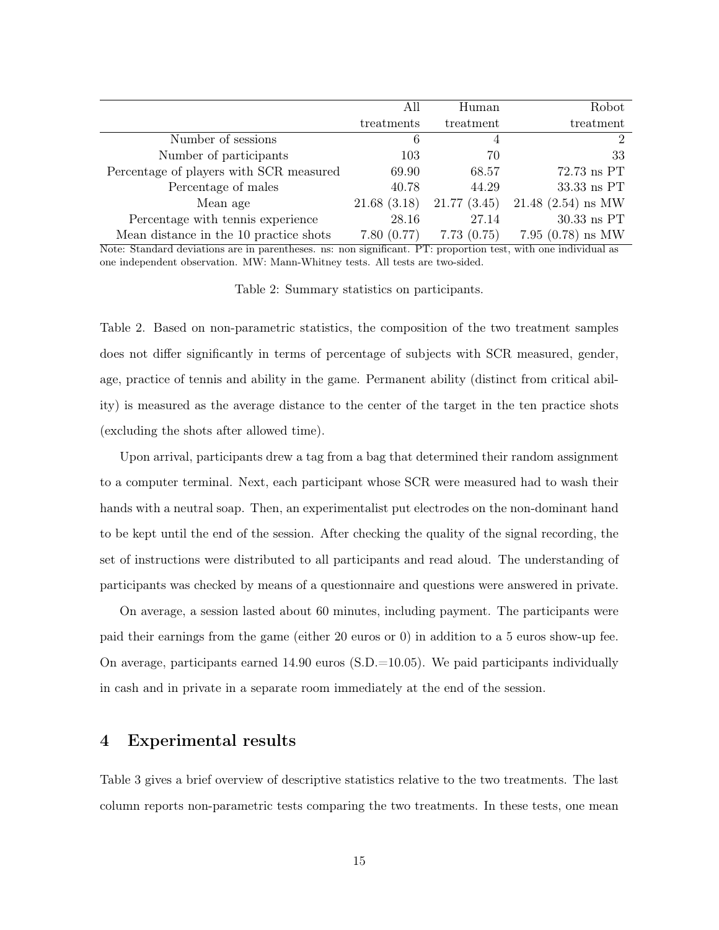|                                                                                                                                                                                                                                                                                                                                                                                                  | All                          | Human                                                                                                           | Robot                                              |
|--------------------------------------------------------------------------------------------------------------------------------------------------------------------------------------------------------------------------------------------------------------------------------------------------------------------------------------------------------------------------------------------------|------------------------------|-----------------------------------------------------------------------------------------------------------------|----------------------------------------------------|
|                                                                                                                                                                                                                                                                                                                                                                                                  | treatments                   | treatment                                                                                                       | treatment                                          |
| Number of sessions                                                                                                                                                                                                                                                                                                                                                                               | 6                            | 4                                                                                                               | $\overline{2}$                                     |
| Number of participants                                                                                                                                                                                                                                                                                                                                                                           | 103                          | 70                                                                                                              | 33                                                 |
| Percentage of players with SCR measured                                                                                                                                                                                                                                                                                                                                                          | 69.90                        | 68.57                                                                                                           | $72.73$ ns PT                                      |
| Percentage of males                                                                                                                                                                                                                                                                                                                                                                              | 40.78                        | 44.29                                                                                                           | 33.33 ns PT                                        |
| Mean age                                                                                                                                                                                                                                                                                                                                                                                         | 21.68(3.18)                  | 21.77(3.45)                                                                                                     | $21.48$ $(2.54)$ ns MW                             |
| Percentage with tennis experience                                                                                                                                                                                                                                                                                                                                                                | 28.16                        | 27.14                                                                                                           | $30.33$ ns PT                                      |
| Mean distance in the 10 practice shots                                                                                                                                                                                                                                                                                                                                                           | 7.80(0.77)                   | 7.73(0.75)                                                                                                      | 7.95 $(0.78)$ ns MW                                |
| $\overline{M}$ $\overline{M}$ $\overline{M}$ $\overline{M}$ $\overline{M}$ $\overline{M}$ $\overline{M}$ $\overline{M}$ $\overline{M}$ $\overline{M}$ $\overline{M}$ $\overline{M}$ $\overline{M}$ $\overline{M}$ $\overline{M}$ $\overline{M}$ $\overline{M}$ $\overline{M}$ $\overline{M}$ $\overline{M}$ $\overline{M}$ $\overline{M}$ $\overline{M}$ $\overline{M}$ $\overline{$<br>$\cdots$ | $\cdot$ $\sim$<br>$\sqrt{2}$ | the contract of the contract of the contract of the contract of the contract of the contract of the contract of | $\sim$ $\sim$ $\sim$<br>$\cdots$ $\cdots$ $\cdots$ |

Note: Standard deviations are in parentheses. ns: non significant. PT: proportion test, with one individual as one independent observation. MW: Mann-Whitney tests. All tests are two-sided.

Table 2: Summary statistics on participants.

Table 2. Based on non-parametric statistics, the composition of the two treatment samples does not differ significantly in terms of percentage of subjects with SCR measured, gender, age, practice of tennis and ability in the game. Permanent ability (distinct from critical ability) is measured as the average distance to the center of the target in the ten practice shots (excluding the shots after allowed time).

Upon arrival, participants drew a tag from a bag that determined their random assignment to a computer terminal. Next, each participant whose SCR were measured had to wash their hands with a neutral soap. Then, an experimentalist put electrodes on the non-dominant hand to be kept until the end of the session. After checking the quality of the signal recording, the set of instructions were distributed to all participants and read aloud. The understanding of participants was checked by means of a questionnaire and questions were answered in private.

On average, a session lasted about 60 minutes, including payment. The participants were paid their earnings from the game (either 20 euros or 0) in addition to a 5 euros show-up fee. On average, participants earned  $14.90$  euros  $(S.D.=10.05)$ . We paid participants individually in cash and in private in a separate room immediately at the end of the session.

#### 4 Experimental results

Table 3 gives a brief overview of descriptive statistics relative to the two treatments. The last column reports non-parametric tests comparing the two treatments. In these tests, one mean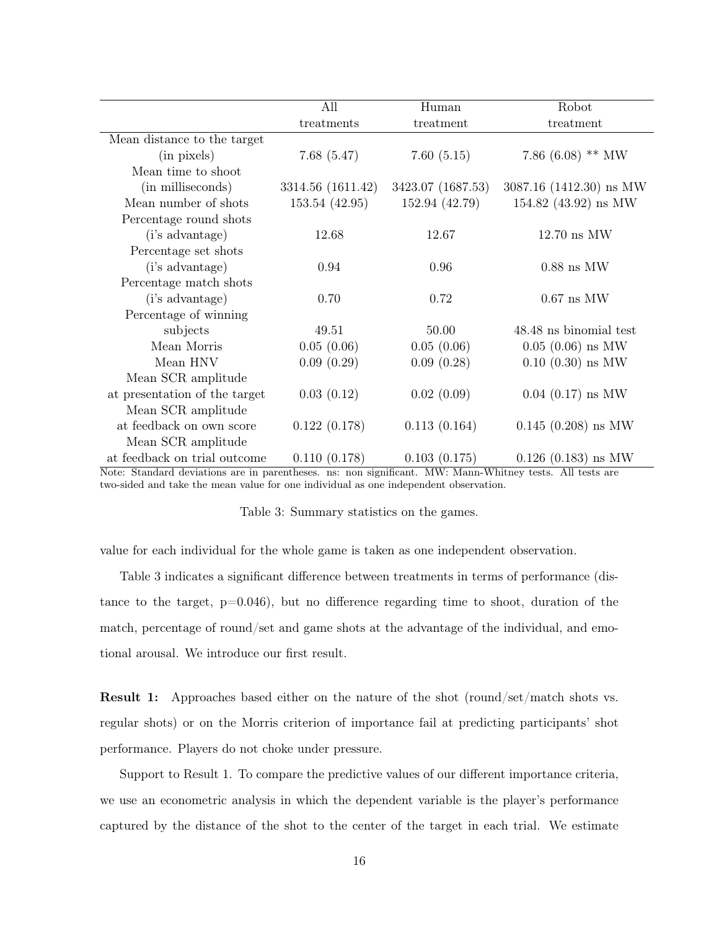|                               | All               | Human             | Robot                         |
|-------------------------------|-------------------|-------------------|-------------------------------|
|                               | treatments        | treatment         | treatment                     |
| Mean distance to the target   |                   |                   |                               |
| (in pixels)                   | 7.68(5.47)        | 7.60(5.15)        | 7.86 $(6.08)$ ** MW           |
| Mean time to shoot            |                   |                   |                               |
| (in milliseconds)             | 3314.56 (1611.42) | 3423.07 (1687.53) | $3087.16$ (1412.30) ns MW     |
| Mean number of shots          | 153.54 (42.95)    | 152.94 (42.79)    | 154.82 $(43.92)$ ns MW        |
| Percentage round shots        |                   |                   |                               |
| (i's advantage)               | 12.68             | 12.67             | $12.70 \text{ ns } \text{MW}$ |
| Percentage set shots          |                   |                   |                               |
| (i's advantage)               | 0.94              | 0.96              | $0.88$ ns MW                  |
| Percentage match shots        |                   |                   |                               |
| (i's advantage)               | 0.70              | 0.72              | $0.67$ ns MW                  |
| Percentage of winning         |                   |                   |                               |
| subjects                      | 49.51             | 50.00             | 48.48 ns binomial test        |
| Mean Morris                   | 0.05(0.06)        | 0.05(0.06)        | $0.05$ $(0.06)$ ns MW         |
| Mean HNV                      | 0.09(0.29)        | 0.09(0.28)        | $0.10$ $(0.30)$ ns MW         |
| Mean SCR amplitude            |                   |                   |                               |
| at presentation of the target | 0.03(0.12)        | 0.02(0.09)        | $0.04$ $(0.17)$ ns MW         |
| Mean SCR amplitude            |                   |                   |                               |
| at feedback on own score      | 0.122(0.178)      | 0.113(0.164)      | $0.145$ $(0.208)$ ns MW       |
| Mean SCR amplitude            |                   |                   |                               |
| at feedback on trial outcome  | 0.110(0.178)      | 0.103(0.175)      | $0.126$ $(0.183)$ ns MW       |

Note: Standard deviations are in parentheses. ns: non significant. MW: Mann-Whitney tests. All tests are two-sided and take the mean value for one individual as one independent observation.

| Table 3: Summary statistics on the games. |  |  |
|-------------------------------------------|--|--|
|                                           |  |  |

value for each individual for the whole game is taken as one independent observation.

Table 3 indicates a significant difference between treatments in terms of performance (distance to the target,  $p=0.046$ ), but no difference regarding time to shoot, duration of the match, percentage of round/set and game shots at the advantage of the individual, and emotional arousal. We introduce our first result.

Result 1: Approaches based either on the nature of the shot (round/set/match shots vs. regular shots) or on the Morris criterion of importance fail at predicting participants' shot performance. Players do not choke under pressure.

Support to Result 1. To compare the predictive values of our different importance criteria, we use an econometric analysis in which the dependent variable is the player's performance captured by the distance of the shot to the center of the target in each trial. We estimate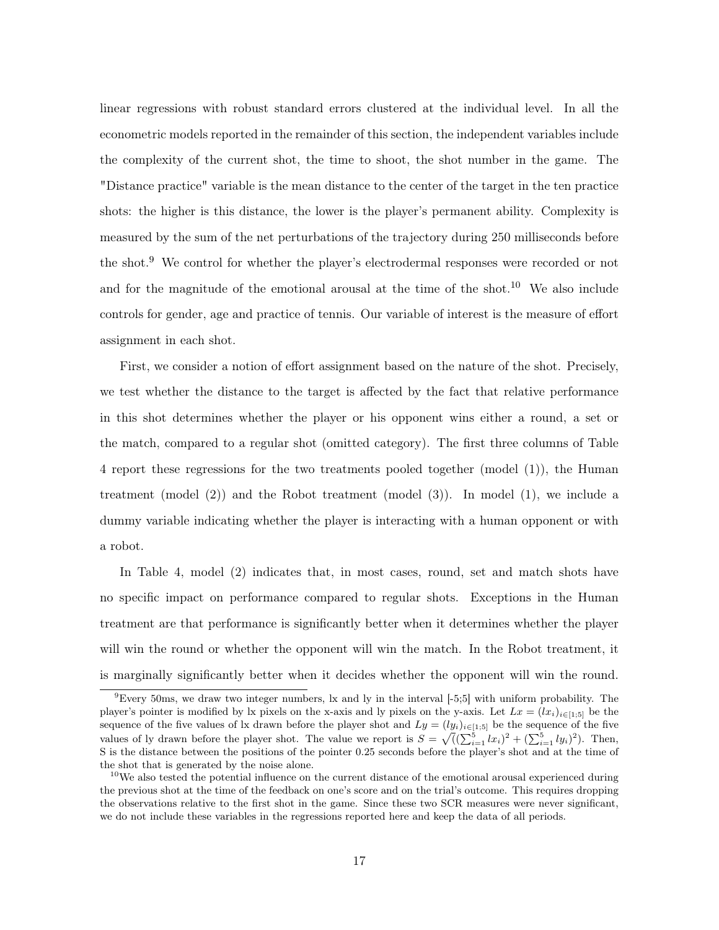linear regressions with robust standard errors clustered at the individual level. In all the econometric models reported in the remainder of this section, the independent variables include the complexity of the current shot, the time to shoot, the shot number in the game. The "Distance practice" variable is the mean distance to the center of the target in the ten practice shots: the higher is this distance, the lower is the player's permanent ability. Complexity is measured by the sum of the net perturbations of the trajectory during 250 milliseconds before the shot.<sup>9</sup> We control for whether the player's electrodermal responses were recorded or not and for the magnitude of the emotional arousal at the time of the shot.<sup>10</sup> We also include controls for gender, age and practice of tennis. Our variable of interest is the measure of effort assignment in each shot.

First, we consider a notion of effort assignment based on the nature of the shot. Precisely, we test whether the distance to the target is affected by the fact that relative performance in this shot determines whether the player or his opponent wins either a round, a set or the match, compared to a regular shot (omitted category). The first three columns of Table 4 report these regressions for the two treatments pooled together (model (1)), the Human treatment (model (2)) and the Robot treatment (model (3)). In model (1), we include a dummy variable indicating whether the player is interacting with a human opponent or with a robot.

In Table 4, model (2) indicates that, in most cases, round, set and match shots have no specific impact on performance compared to regular shots. Exceptions in the Human treatment are that performance is significantly better when it determines whether the player will win the round or whether the opponent will win the match. In the Robot treatment, it is marginally significantly better when it decides whether the opponent will win the round.

 $9$ Every 50ms, we draw two integer numbers, lx and ly in the interval  $[-5,5]$  with uniform probability. The player's pointer is modified by lx pixels on the x-axis and ly pixels on the y-axis. Let  $Lx = (lx_i)_{i \in [1,5]}$  be the sequence of the five values of lx drawn before the player shot and  $Ly = (ly_i)_{i \in [1,5]}$  be the sequence of the five values of ly drawn before the player shot. The value we report is  $S = \sqrt{((\sum_{i=1}^{5} lx_i)^2 + (\sum_{i=1}^{5} ly_i)^2)}$ . Then, S is the distance between the positions of the pointer 0.25 seconds before the player's shot and at the time of the shot that is generated by the noise alone.

 $10$ We also tested the potential influence on the current distance of the emotional arousal experienced during the previous shot at the time of the feedback on one's score and on the trial's outcome. This requires dropping the observations relative to the first shot in the game. Since these two SCR measures were never significant, we do not include these variables in the regressions reported here and keep the data of all periods.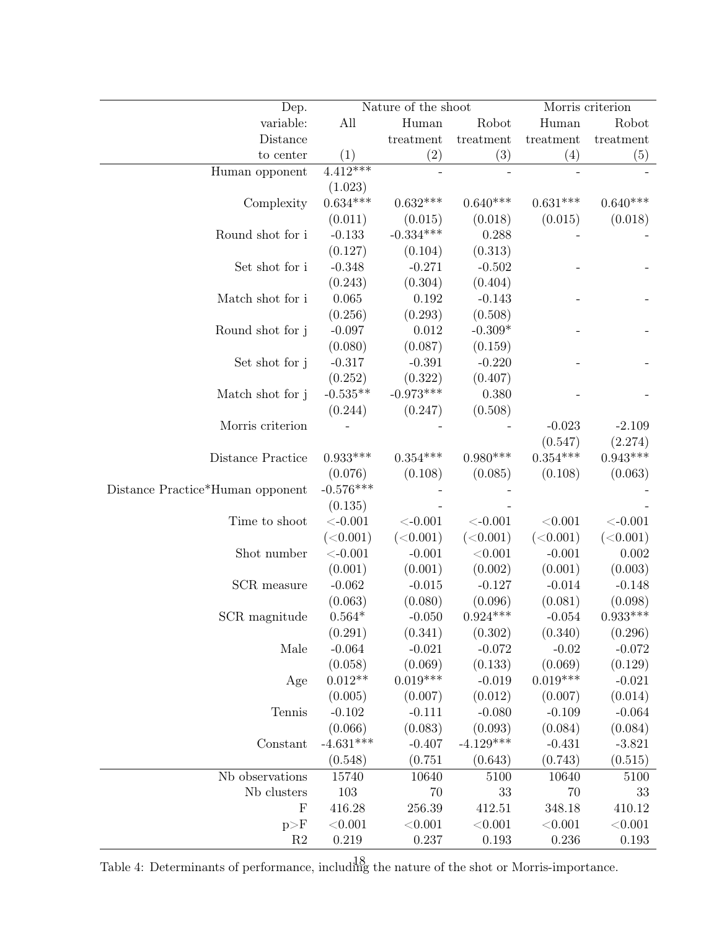| Dep.                             |                       | Nature of the shoot        |                     |                       | Morris criterion    |
|----------------------------------|-----------------------|----------------------------|---------------------|-----------------------|---------------------|
| variable:                        | All                   | Human                      | Robot               | Human                 | Robot               |
| Distance                         |                       | treatment                  | treatment           | treatment             | treatment           |
| to center                        | (1)                   | (2)                        | (3)                 | (4)                   | (5)                 |
| Human opponent                   | $4.\overline{412***}$ |                            |                     |                       |                     |
|                                  | (1.023)               |                            |                     |                       |                     |
| Complexity                       | $0.634***$            | $0.632***$                 | $0.640***$          | $0.631***$            | $0.640***$          |
|                                  | (0.011)               | (0.015)                    | (0.018)             | (0.015)               | (0.018)             |
| Round shot for i                 | $-0.133$              | $-0.334***$                | 0.288               |                       |                     |
|                                  | (0.127)               | (0.104)                    | (0.313)             |                       |                     |
| Set shot for i                   | $-0.348$              | $-0.271$                   | $-0.502$            |                       |                     |
|                                  | (0.243)               | (0.304)                    | (0.404)             |                       |                     |
| Match shot for i                 | 0.065                 | 0.192                      | $-0.143$            |                       |                     |
|                                  | (0.256)               | (0.293)                    | (0.508)             |                       |                     |
| Round shot for j                 | $-0.097$              | 0.012                      | $-0.309*$           |                       |                     |
|                                  | (0.080)               | (0.087)                    | (0.159)             |                       |                     |
| Set shot for j                   | $-0.317$              | $-0.391$                   | $-0.220$            |                       |                     |
|                                  | (0.252)               | (0.322)                    | (0.407)             |                       |                     |
| Match shot for j                 | $-0.535**$            | $-0.973***$                | 0.380               |                       |                     |
|                                  | (0.244)               | (0.247)                    | (0.508)             |                       |                     |
| Morris criterion                 |                       |                            |                     | $-0.023$              | $-2.109$            |
|                                  |                       |                            |                     | (0.547)               | (2.274)             |
| Distance Practice                | $0.933***$            | $0.354***$                 | $0.980***$          | $0.354***$            | $0.943***$          |
|                                  | (0.076)               | (0.108)                    | (0.085)             | (0.108)               | (0.063)             |
| Distance Practice*Human opponent | $-0.576***$           |                            |                     |                       |                     |
|                                  | (0.135)               |                            |                     |                       |                     |
| Time to shoot                    | $< -0.001$            | $< -0.001$                 | $< -0.001$          | < 0.001               | $<\!\!-0.001$       |
|                                  | (<0.001)              | (<0.001)                   | (<0.001)            | (<0.001)              | (<0.001)            |
| Shot number                      | $< -0.001$            | $-0.001$                   | < 0.001             | $-0.001$              | 0.002               |
|                                  | (0.001)               | (0.001)                    | (0.002)             | (0.001)               | (0.003)             |
| SCR measure                      | $-0.062$              | $-0.015$                   | $-0.127$            | $-0.014$              | $-0.148$            |
|                                  | (0.063)               | (0.080)                    | (0.096)             | (0.081)               | (0.098)             |
| SCR magnitude                    | $0.564*$              | $-0.050$                   | $0.924***$          | $-0.054$              | $0.933***$          |
|                                  | (0.291)               | (0.341)                    | (0.302)             | (0.340)               | (0.296)             |
| Male                             | $-0.064$              | $-0.021$                   | $-0.072$            | $-0.02$               | $-0.072$            |
|                                  | (0.058)<br>$0.012**$  | (0.069)<br>$0.019^{***}\,$ | (0.133)             | (0.069)<br>$0.019***$ | (0.129)             |
| Age                              | (0.005)               |                            | $-0.019$            |                       | $-0.021$            |
| Tennis                           | $-0.102$              | (0.007)<br>$-0.111$        | (0.012)<br>$-0.080$ | (0.007)<br>$-0.109$   | (0.014)             |
|                                  | (0.066)               | (0.083)                    | (0.093)             | (0.084)               | $-0.064$            |
| Constant                         | $-4.631***$           | $-0.407$                   | $-4.129***$         | $-0.431$              | (0.084)<br>$-3.821$ |
|                                  | (0.548)               | (0.751)                    | (0.643)             | (0.743)               | (0.515)             |
| Nb observations                  | 15740                 | 10640                      | 5100                | 10640                 | 5100                |
| Nb clusters                      | 103                   | 70                         | 33                  | 70                    | 33                  |
| $\mathbf F$                      | 416.28                | 256.39                     | 412.51              | 348.18                | 410.12              |
| p>F                              | < 0.001               | $<\!\!0.001$               | $<\!\!0.001$        | < 0.001               | $<\!\!0.001$        |
| $\mathbf{R}2$                    | $0.219\,$             | 0.237                      | 0.193               | 0.236                 | 0.193               |
|                                  |                       |                            |                     |                       |                     |

Table 4: Determinants of performance, including the nature of the shot or Morris-importance.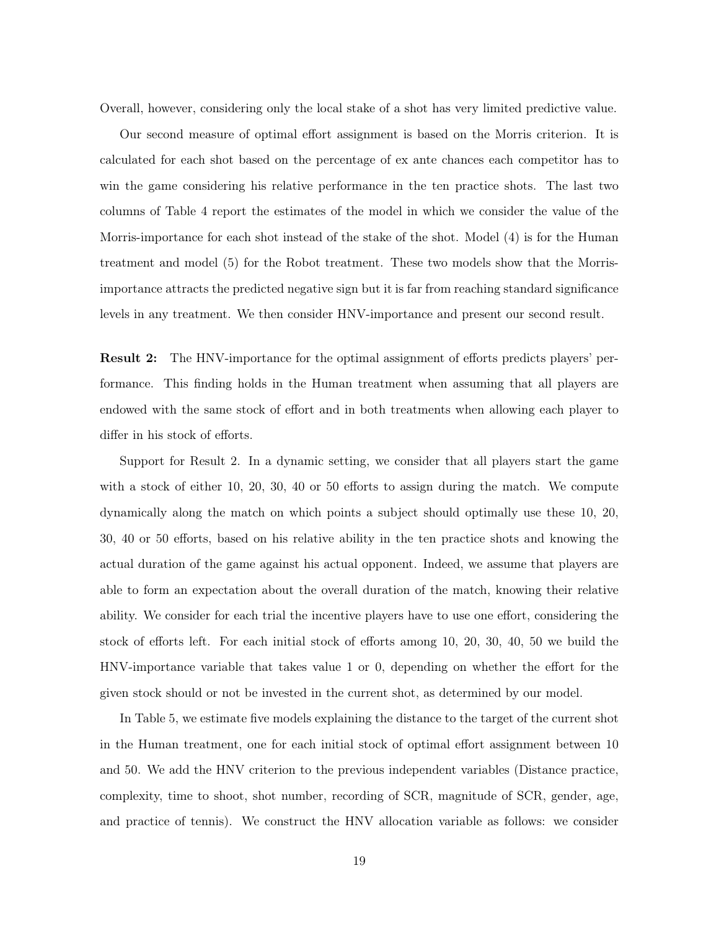Overall, however, considering only the local stake of a shot has very limited predictive value.

Our second measure of optimal effort assignment is based on the Morris criterion. It is calculated for each shot based on the percentage of ex ante chances each competitor has to win the game considering his relative performance in the ten practice shots. The last two columns of Table 4 report the estimates of the model in which we consider the value of the Morris-importance for each shot instead of the stake of the shot. Model (4) is for the Human treatment and model (5) for the Robot treatment. These two models show that the Morrisimportance attracts the predicted negative sign but it is far from reaching standard significance levels in any treatment. We then consider HNV-importance and present our second result.

Result 2: The HNV-importance for the optimal assignment of efforts predicts players' performance. This finding holds in the Human treatment when assuming that all players are endowed with the same stock of effort and in both treatments when allowing each player to differ in his stock of efforts.

Support for Result 2. In a dynamic setting, we consider that all players start the game with a stock of either 10, 20, 30, 40 or 50 efforts to assign during the match. We compute dynamically along the match on which points a subject should optimally use these 10, 20, 30, 40 or 50 efforts, based on his relative ability in the ten practice shots and knowing the actual duration of the game against his actual opponent. Indeed, we assume that players are able to form an expectation about the overall duration of the match, knowing their relative ability. We consider for each trial the incentive players have to use one effort, considering the stock of efforts left. For each initial stock of efforts among 10, 20, 30, 40, 50 we build the HNV-importance variable that takes value 1 or 0, depending on whether the effort for the given stock should or not be invested in the current shot, as determined by our model.

In Table 5, we estimate five models explaining the distance to the target of the current shot in the Human treatment, one for each initial stock of optimal effort assignment between 10 and 50. We add the HNV criterion to the previous independent variables (Distance practice, complexity, time to shoot, shot number, recording of SCR, magnitude of SCR, gender, age, and practice of tennis). We construct the HNV allocation variable as follows: we consider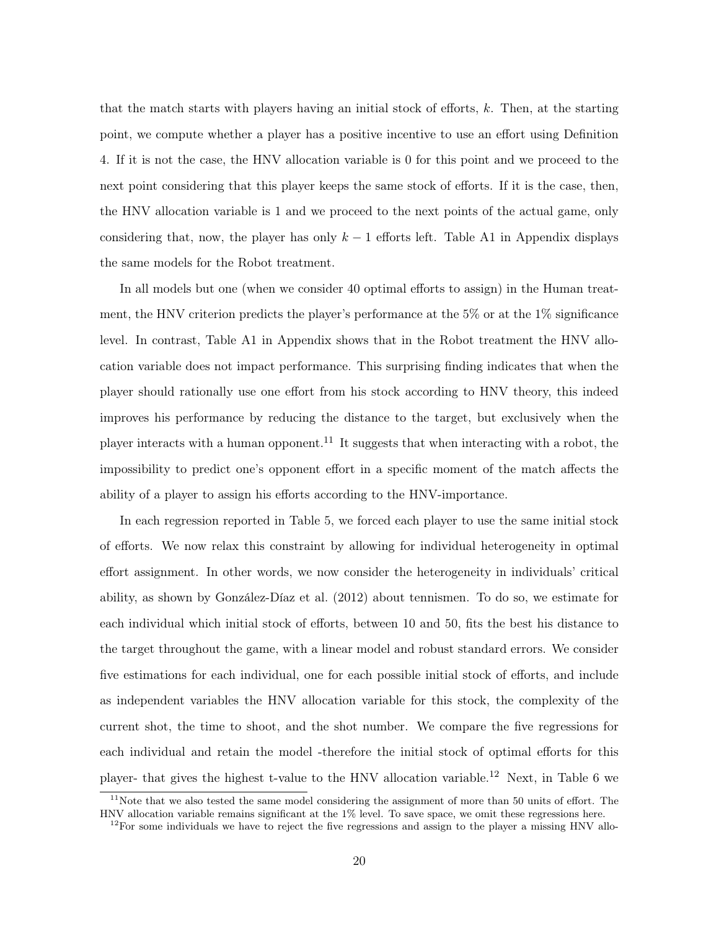that the match starts with players having an initial stock of efforts, k. Then, at the starting point, we compute whether a player has a positive incentive to use an effort using Definition 4. If it is not the case, the HNV allocation variable is 0 for this point and we proceed to the next point considering that this player keeps the same stock of efforts. If it is the case, then, the HNV allocation variable is 1 and we proceed to the next points of the actual game, only considering that, now, the player has only  $k-1$  efforts left. Table A1 in Appendix displays the same models for the Robot treatment.

In all models but one (when we consider 40 optimal efforts to assign) in the Human treatment, the HNV criterion predicts the player's performance at the 5% or at the 1% significance level. In contrast, Table A1 in Appendix shows that in the Robot treatment the HNV allocation variable does not impact performance. This surprising finding indicates that when the player should rationally use one effort from his stock according to HNV theory, this indeed improves his performance by reducing the distance to the target, but exclusively when the player interacts with a human opponent.<sup>11</sup> It suggests that when interacting with a robot, the impossibility to predict one's opponent effort in a specific moment of the match affects the ability of a player to assign his efforts according to the HNV-importance.

In each regression reported in Table 5, we forced each player to use the same initial stock of efforts. We now relax this constraint by allowing for individual heterogeneity in optimal effort assignment. In other words, we now consider the heterogeneity in individuals' critical ability, as shown by González-Díaz et al. (2012) about tennismen. To do so, we estimate for each individual which initial stock of efforts, between 10 and 50, fits the best his distance to the target throughout the game, with a linear model and robust standard errors. We consider five estimations for each individual, one for each possible initial stock of efforts, and include as independent variables the HNV allocation variable for this stock, the complexity of the current shot, the time to shoot, and the shot number. We compare the five regressions for each individual and retain the model -therefore the initial stock of optimal efforts for this player- that gives the highest t-value to the HNV allocation variable.<sup>12</sup> Next, in Table 6 we

 $11$ Note that we also tested the same model considering the assignment of more than 50 units of effort. The HNV allocation variable remains significant at the 1% level. To save space, we omit these regressions here.

 $12$ For some individuals we have to reject the five regressions and assign to the player a missing HNV allo-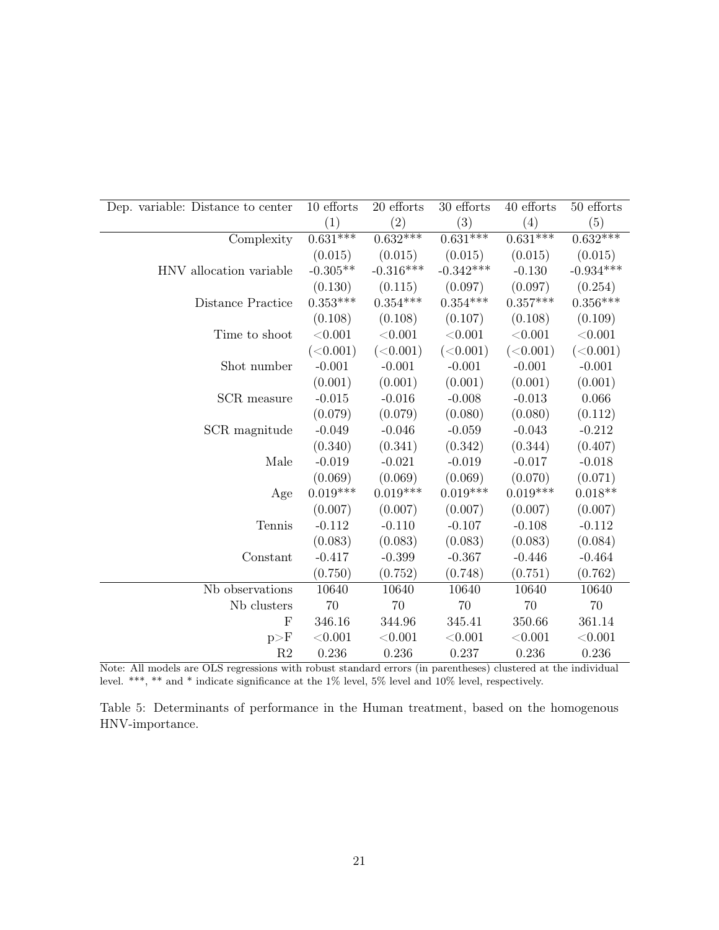| Dep. variable: Distance to center | 10 efforts | 20 efforts  | 30 efforts  | 40 efforts | 50 efforts  |
|-----------------------------------|------------|-------------|-------------|------------|-------------|
|                                   | (1)        | (2)         | (3)         | (4)        | (5)         |
| Complexity                        | $0.631***$ | $0.632***$  | $0.631***$  | $0.631***$ | $0.632***$  |
|                                   | (0.015)    | (0.015)     | (0.015)     | (0.015)    | (0.015)     |
| HNV allocation variable           | $-0.305**$ | $-0.316***$ | $-0.342***$ | $-0.130$   | $-0.934***$ |
|                                   | (0.130)    | (0.115)     | (0.097)     | (0.097)    | (0.254)     |
| Distance Practice                 | $0.353***$ | $0.354***$  | $0.354***$  | $0.357***$ | $0.356***$  |
|                                   | (0.108)    | (0.108)     | (0.107)     | (0.108)    | (0.109)     |
| Time to shoot                     | < 0.001    | < 0.001     | < 0.001     | < 0.001    | < 0.001     |
|                                   | (<0.001)   | (<0.001)    | (<0.001)    | (<0.001)   | (<0.001)    |
| Shot number                       | $-0.001$   | $-0.001$    | $-0.001$    | $-0.001$   | $-0.001$    |
|                                   | (0.001)    | (0.001)     | (0.001)     | (0.001)    | (0.001)     |
| SCR measure                       | $-0.015$   | $-0.016$    | $-0.008$    | $-0.013$   | 0.066       |
|                                   | (0.079)    | (0.079)     | (0.080)     | (0.080)    | (0.112)     |
| SCR magnitude                     | $-0.049$   | $-0.046$    | $-0.059$    | $-0.043$   | $-0.212$    |
|                                   | (0.340)    | (0.341)     | (0.342)     | (0.344)    | (0.407)     |
| Male                              | $-0.019$   | $-0.021$    | $-0.019$    | $-0.017$   | $-0.018$    |
|                                   | (0.069)    | (0.069)     | (0.069)     | (0.070)    | (0.071)     |
| Age                               | $0.019***$ | $0.019***$  | $0.019***$  | $0.019***$ | $0.018**$   |
|                                   | (0.007)    | (0.007)     | (0.007)     | (0.007)    | (0.007)     |
| Tennis                            | $-0.112$   | $-0.110$    | $-0.107$    | $-0.108$   | $-0.112$    |
|                                   | (0.083)    | (0.083)     | (0.083)     | (0.083)    | (0.084)     |
| Constant                          | $-0.417$   | $-0.399$    | $-0.367$    | $-0.446$   | $-0.464$    |
|                                   | (0.750)    | (0.752)     | (0.748)     | (0.751)    | (0.762)     |
| Nb observations                   | 10640      | 10640       | 10640       | 10640      | 10640       |
| Nb clusters                       | 70         | 70          | 70          | 70         | 70          |
| $_{\rm F}$                        | 346.16     | 344.96      | 345.41      | 350.66     | 361.14      |
| p>F                               | < 0.001    | < 0.001     | < 0.001     | < 0.001    | < 0.001     |
| R <sub>2</sub>                    | 0.236      | 0.236       | 0.237       | 0.236      | 0.236       |

Note: All models are OLS regressions with robust standard errors (in parentheses) clustered at the individual level. \*\*\*, \*\* and \* indicate significance at the 1% level, 5% level and 10% level, respectively.

Table 5: Determinants of performance in the Human treatment, based on the homogenous HNV-importance.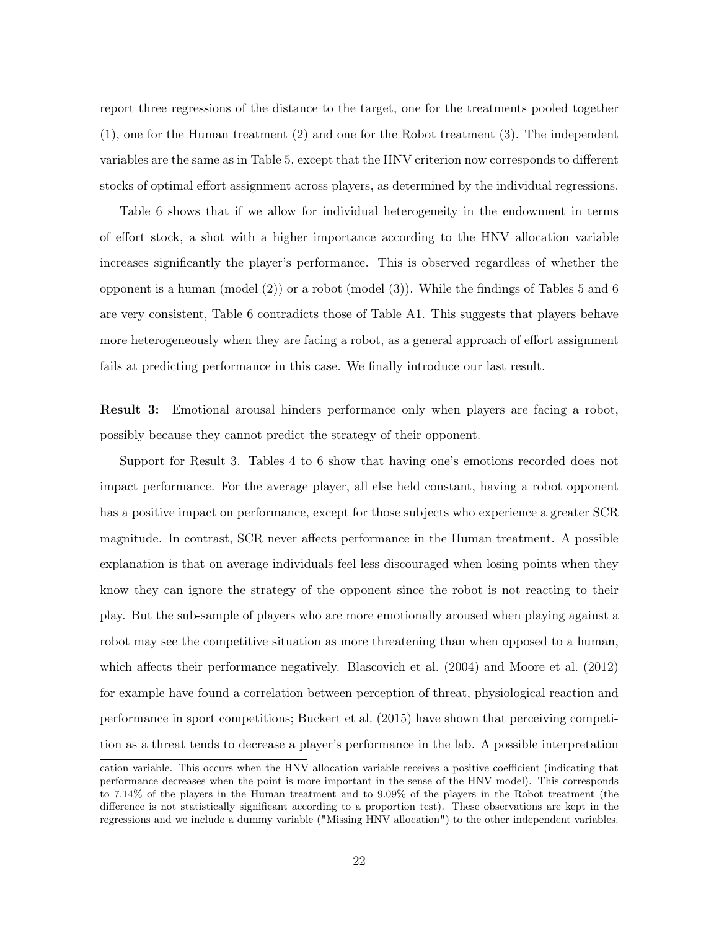report three regressions of the distance to the target, one for the treatments pooled together (1), one for the Human treatment (2) and one for the Robot treatment (3). The independent variables are the same as in Table 5, except that the HNV criterion now corresponds to different stocks of optimal effort assignment across players, as determined by the individual regressions.

Table 6 shows that if we allow for individual heterogeneity in the endowment in terms of effort stock, a shot with a higher importance according to the HNV allocation variable increases significantly the player's performance. This is observed regardless of whether the opponent is a human (model (2)) or a robot (model (3)). While the findings of Tables 5 and 6 are very consistent, Table 6 contradicts those of Table A1. This suggests that players behave more heterogeneously when they are facing a robot, as a general approach of effort assignment fails at predicting performance in this case. We finally introduce our last result.

Result 3: Emotional arousal hinders performance only when players are facing a robot, possibly because they cannot predict the strategy of their opponent.

Support for Result 3. Tables 4 to 6 show that having one's emotions recorded does not impact performance. For the average player, all else held constant, having a robot opponent has a positive impact on performance, except for those subjects who experience a greater SCR magnitude. In contrast, SCR never affects performance in the Human treatment. A possible explanation is that on average individuals feel less discouraged when losing points when they know they can ignore the strategy of the opponent since the robot is not reacting to their play. But the sub-sample of players who are more emotionally aroused when playing against a robot may see the competitive situation as more threatening than when opposed to a human, which affects their performance negatively. Blascovich et al. (2004) and Moore et al. (2012) for example have found a correlation between perception of threat, physiological reaction and performance in sport competitions; Buckert et al. (2015) have shown that perceiving competition as a threat tends to decrease a player's performance in the lab. A possible interpretation

cation variable. This occurs when the HNV allocation variable receives a positive coefficient (indicating that performance decreases when the point is more important in the sense of the HNV model). This corresponds to 7.14% of the players in the Human treatment and to 9.09% of the players in the Robot treatment (the difference is not statistically significant according to a proportion test). These observations are kept in the regressions and we include a dummy variable ("Missing HNV allocation") to the other independent variables.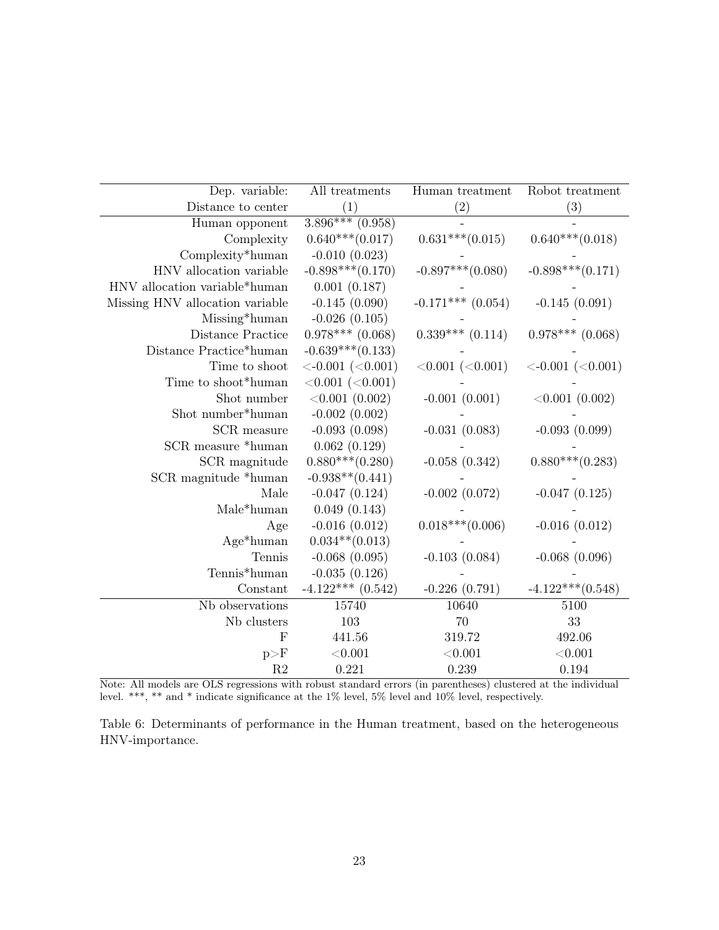| Dep. variable:                  | All treatments                      | Human treatment         | Robot treatment             |
|---------------------------------|-------------------------------------|-------------------------|-----------------------------|
| Distance to center              | (1)                                 | (2)                     | (3)                         |
| Human opponent                  | $3.896***(0.958)$                   |                         |                             |
| Complexity                      | $0.640***(0.017)$                   | $0.631***(0.015)$       | $0.640***(0.018)$           |
| Complexity*human                | $-0.010(0.023)$                     |                         |                             |
| HNV allocation variable         | $-0.898***(0.170)$                  | $-0.897***(0.080)$      | $-0.898***(0.171)$          |
| HNV allocation variable*human   | 0.001(0.187)                        |                         |                             |
| Missing HNV allocation variable | $-0.145(0.090)$                     | $-0.171***$ (0.054)     | $-0.145(0.091)$             |
| Missing*human                   | $-0.026(0.105)$                     |                         |                             |
| Distance Practice               | $0.978***$ $(0.068)$                | $0.339***$ $(0.114)$    | $0.978***$ (0.068)          |
| Distance Practice*human         | $-0.639***(0.133)$                  |                         |                             |
| Time to shoot                   | $\langle -0.001 \ (-0.001) \rangle$ | $< 0.001$ ( $< 0.001$ ) | $\langle -0.001 \ (-0.001)$ |
| Time to shoot*human             | $< 0.001$ ( $< 0.001$ )             |                         |                             |
| Shot number                     | $< 0.001$ (0.002)                   | $-0.001(0.001)$         | < 0.001 (0.002)             |
| Shot number*human               | $-0.002(0.002)$                     |                         |                             |
| SCR measure                     | $-0.093(0.098)$                     | $-0.031(0.083)$         | $-0.093(0.099)$             |
| SCR measure *human              | 0.062(0.129)                        |                         |                             |
| SCR magnitude                   | $0.880***(0.280)$                   | $-0.058(0.342)$         | $0.880***(0.283)$           |
| SCR magnitude *human            | $-0.938**$ (0.441)                  |                         |                             |
| Male                            | $-0.047(0.124)$                     | $-0.002(0.072)$         | $-0.047(0.125)$             |
| Male*human                      | 0.049(0.143)                        |                         |                             |
| Age                             | $-0.016(0.012)$                     | $0.018***(0.006)$       | $-0.016(0.012)$             |
| $Age*human$                     | $0.034**$ (0.013)                   |                         |                             |
| Tennis                          | $-0.068$ $(0.095)$                  | $-0.103(0.084)$         | $-0.068(0.096)$             |
| Tennis*human                    | $-0.035(0.126)$                     |                         |                             |
| Constant                        | $-4.122***$ (0.542)                 | $-0.226(0.791)$         | $-4.122***(0.548)$          |
| Nb observations                 | 15740                               | 10640                   | 5100                        |
| Nb clusters                     | 103                                 | 70                      | 33                          |
| F                               | 441.56                              | $319.72\,$              | 492.06                      |
| p>F                             | < 0.001                             | < 0.001                 | < 0.001                     |
| R <sub>2</sub>                  | 0.221                               | 0.239                   | 0.194                       |

Note: All models are OLS regressions with robust standard errors (in parentheses) clustered at the individual level. \*\*\*, \*\* and \* indicate significance at the 1% level, 5% level and 10% level, respectively.

Table 6: Determinants of performance in the Human treatment, based on the heterogeneous HNV-importance.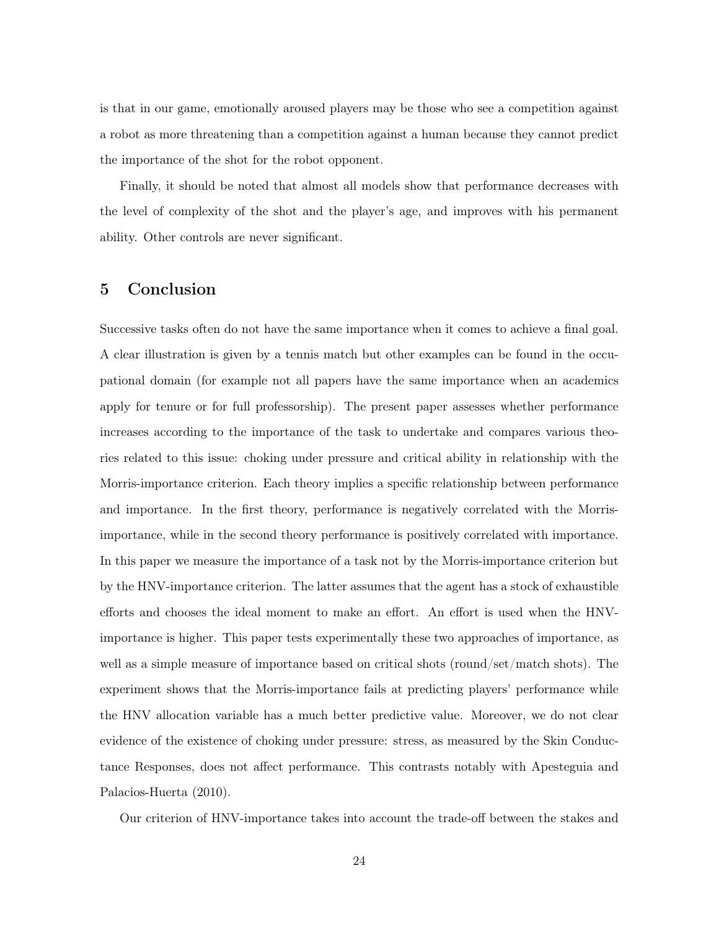is that in our game, emotionally aroused players may be those who see a competition against a robot as more threatening than a competition against a human because they cannot predict the importance of the shot for the robot opponent.

Finally, it should be noted that almost all models show that performance decreases with the level of complexity of the shot and the player's age, and improves with his permanent ability. Other controls are never significant.

#### 5 Conclusion

Successive tasks often do not have the same importance when it comes to achieve a final goal. A clear illustration is given by a tennis match but other examples can be found in the occupational domain (for example not all papers have the same importance when an academics apply for tenure or for full professorship). The present paper assesses whether performance increases according to the importance of the task to undertake and compares various theories related to this issue: choking under pressure and critical ability in relationship with the Morris-importance criterion. Each theory implies a specific relationship between performance and importance. In the first theory, performance is negatively correlated with the Morrisimportance, while in the second theory performance is positively correlated with importance. In this paper we measure the importance of a task not by the Morris-importance criterion but by the HNV-importance criterion. The latter assumes that the agent has a stock of exhaustible efforts and chooses the ideal moment to make an effort. An effort is used when the HNVimportance is higher. This paper tests experimentally these two approaches of importance, as well as a simple measure of importance based on critical shots (round/set/match shots). The experiment shows that the Morris-importance fails at predicting players' performance while the HNV allocation variable has a much better predictive value. Moreover, we do not clear evidence of the existence of choking under pressure: stress, as measured by the Skin Conductance Responses, does not affect performance. This contrasts notably with Apesteguia and Palacios-Huerta (2010).

Our criterion of HNV-importance takes into account the trade-off between the stakes and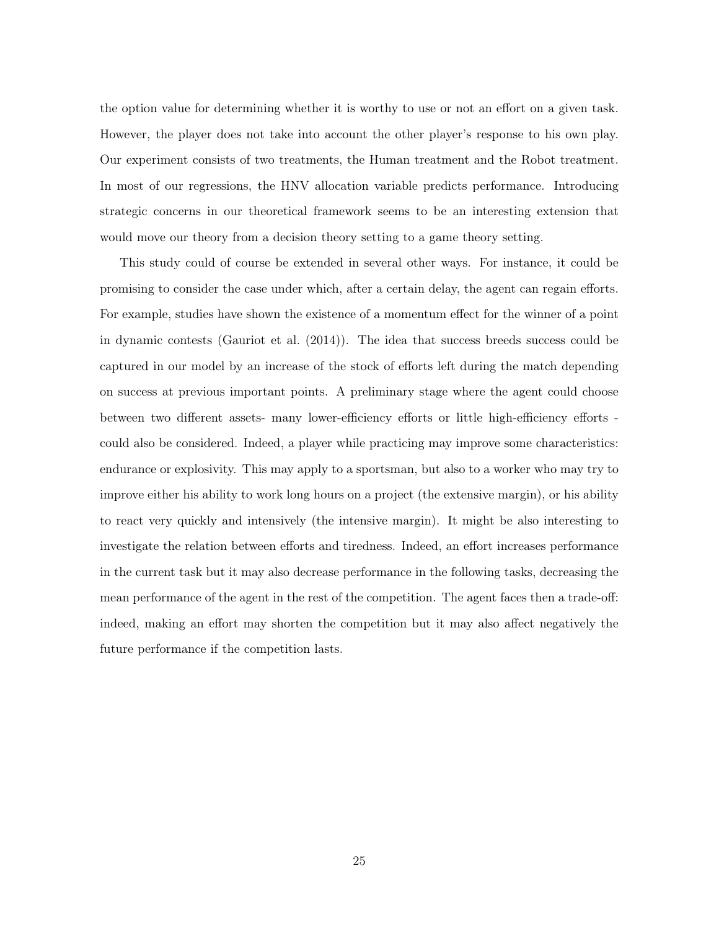the option value for determining whether it is worthy to use or not an effort on a given task. However, the player does not take into account the other player's response to his own play. Our experiment consists of two treatments, the Human treatment and the Robot treatment. In most of our regressions, the HNV allocation variable predicts performance. Introducing strategic concerns in our theoretical framework seems to be an interesting extension that would move our theory from a decision theory setting to a game theory setting.

This study could of course be extended in several other ways. For instance, it could be promising to consider the case under which, after a certain delay, the agent can regain efforts. For example, studies have shown the existence of a momentum effect for the winner of a point in dynamic contests (Gauriot et al. (2014)). The idea that success breeds success could be captured in our model by an increase of the stock of efforts left during the match depending on success at previous important points. A preliminary stage where the agent could choose between two different assets- many lower-efficiency efforts or little high-efficiency efforts could also be considered. Indeed, a player while practicing may improve some characteristics: endurance or explosivity. This may apply to a sportsman, but also to a worker who may try to improve either his ability to work long hours on a project (the extensive margin), or his ability to react very quickly and intensively (the intensive margin). It might be also interesting to investigate the relation between efforts and tiredness. Indeed, an effort increases performance in the current task but it may also decrease performance in the following tasks, decreasing the mean performance of the agent in the rest of the competition. The agent faces then a trade-off: indeed, making an effort may shorten the competition but it may also affect negatively the future performance if the competition lasts.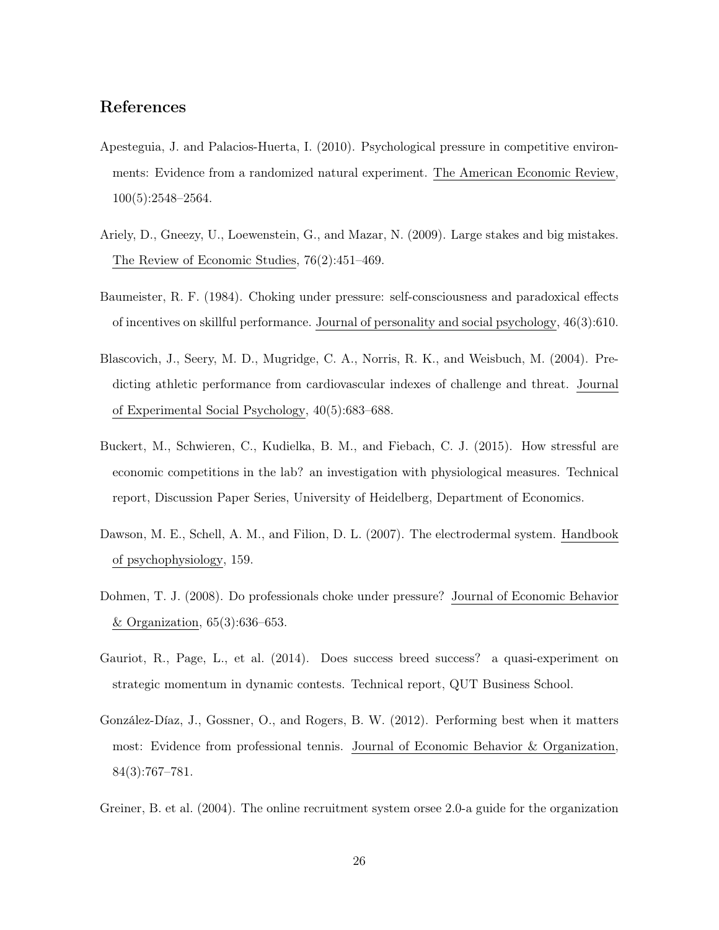#### References

- Apesteguia, J. and Palacios-Huerta, I. (2010). Psychological pressure in competitive environments: Evidence from a randomized natural experiment. The American Economic Review, 100(5):2548–2564.
- Ariely, D., Gneezy, U., Loewenstein, G., and Mazar, N. (2009). Large stakes and big mistakes. The Review of Economic Studies, 76(2):451–469.
- Baumeister, R. F. (1984). Choking under pressure: self-consciousness and paradoxical effects of incentives on skillful performance. Journal of personality and social psychology, 46(3):610.
- Blascovich, J., Seery, M. D., Mugridge, C. A., Norris, R. K., and Weisbuch, M. (2004). Predicting athletic performance from cardiovascular indexes of challenge and threat. Journal of Experimental Social Psychology, 40(5):683–688.
- Buckert, M., Schwieren, C., Kudielka, B. M., and Fiebach, C. J. (2015). How stressful are economic competitions in the lab? an investigation with physiological measures. Technical report, Discussion Paper Series, University of Heidelberg, Department of Economics.
- Dawson, M. E., Schell, A. M., and Filion, D. L. (2007). The electrodermal system. Handbook of psychophysiology, 159.
- Dohmen, T. J. (2008). Do professionals choke under pressure? Journal of Economic Behavior & Organization, 65(3):636–653.
- Gauriot, R., Page, L., et al. (2014). Does success breed success? a quasi-experiment on strategic momentum in dynamic contests. Technical report, QUT Business School.
- González-Díaz, J., Gossner, O., and Rogers, B. W. (2012). Performing best when it matters most: Evidence from professional tennis. Journal of Economic Behavior & Organization, 84(3):767–781.
- Greiner, B. et al. (2004). The online recruitment system orsee 2.0-a guide for the organization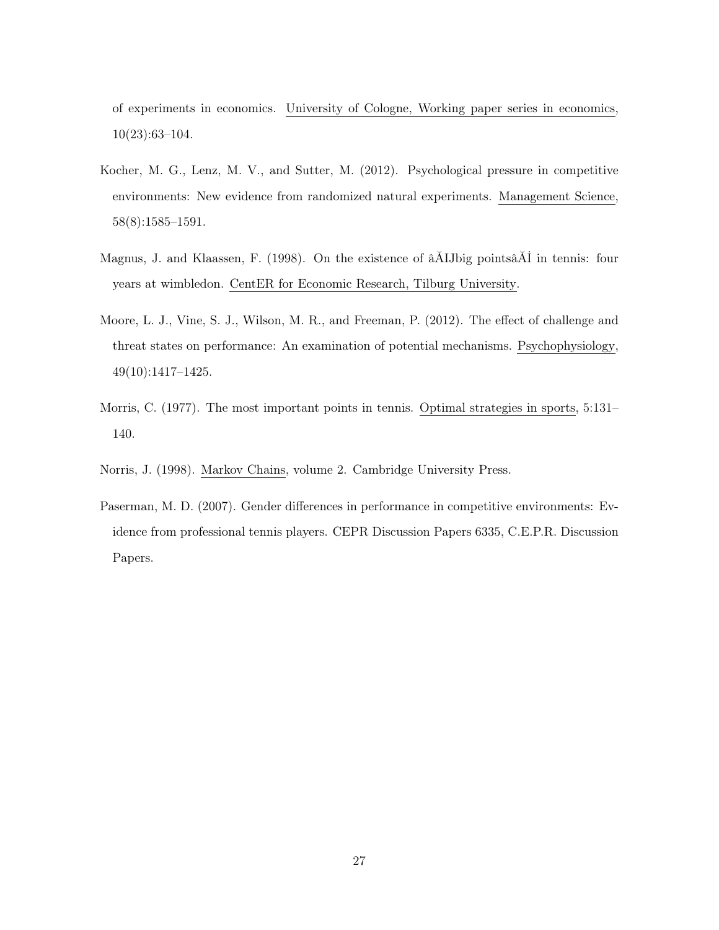of experiments in economics. University of Cologne, Working paper series in economics, 10(23):63–104.

- Kocher, M. G., Lenz, M. V., and Sutter, M. (2012). Psychological pressure in competitive environments: New evidence from randomized natural experiments. Management Science, 58(8):1585–1591.
- Magnus, J. and Klaassen, F. (1998). On the existence of âĂIJbig pointsâĂİ in tennis: four years at wimbledon. CentER for Economic Research, Tilburg University.
- Moore, L. J., Vine, S. J., Wilson, M. R., and Freeman, P. (2012). The effect of challenge and threat states on performance: An examination of potential mechanisms. Psychophysiology, 49(10):1417–1425.
- Morris, C. (1977). The most important points in tennis. Optimal strategies in sports, 5:131– 140.

Norris, J. (1998). Markov Chains, volume 2. Cambridge University Press.

Paserman, M. D. (2007). Gender differences in performance in competitive environments: Evidence from professional tennis players. CEPR Discussion Papers 6335, C.E.P.R. Discussion Papers.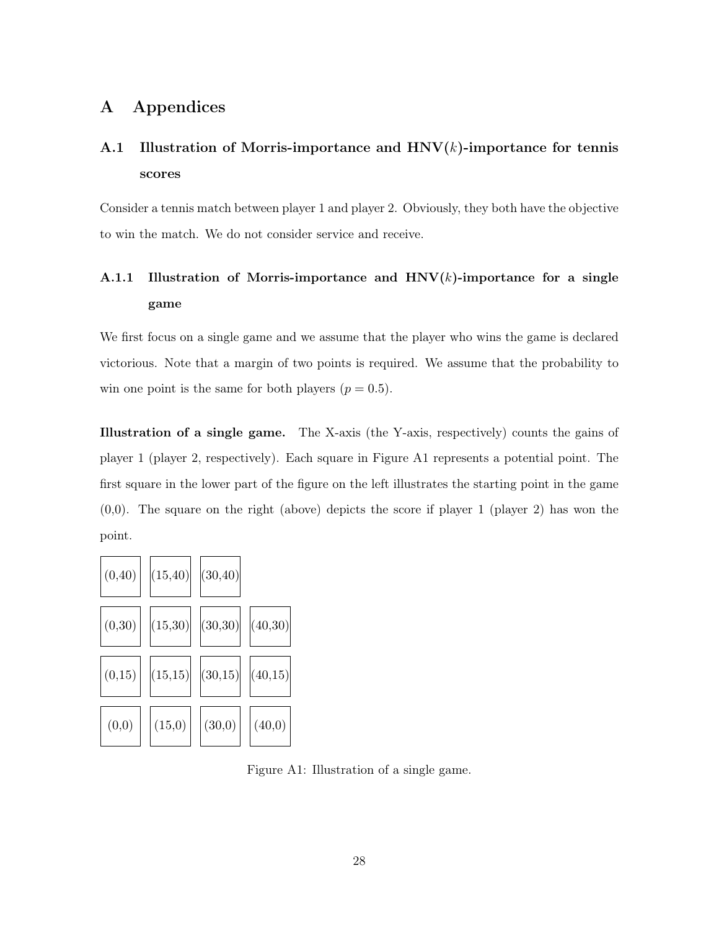### A Appendices

## A.1 Illustration of Morris-importance and  $HNV(k)$ -importance for tennis scores

Consider a tennis match between player 1 and player 2. Obviously, they both have the objective to win the match. We do not consider service and receive.

## A.1.1 Illustration of Morris-importance and  $HNV(k)$ -importance for a single game

We first focus on a single game and we assume that the player who wins the game is declared victorious. Note that a margin of two points is required. We assume that the probability to win one point is the same for both players  $(p = 0.5)$ .

Illustration of a single game. The X-axis (the Y-axis, respectively) counts the gains of player 1 (player 2, respectively). Each square in Figure A1 represents a potential point. The first square in the lower part of the figure on the left illustrates the starting point in the game  $(0,0)$ . The square on the right (above) depicts the score if player 1 (player 2) has won the point.



Figure A1: Illustration of a single game.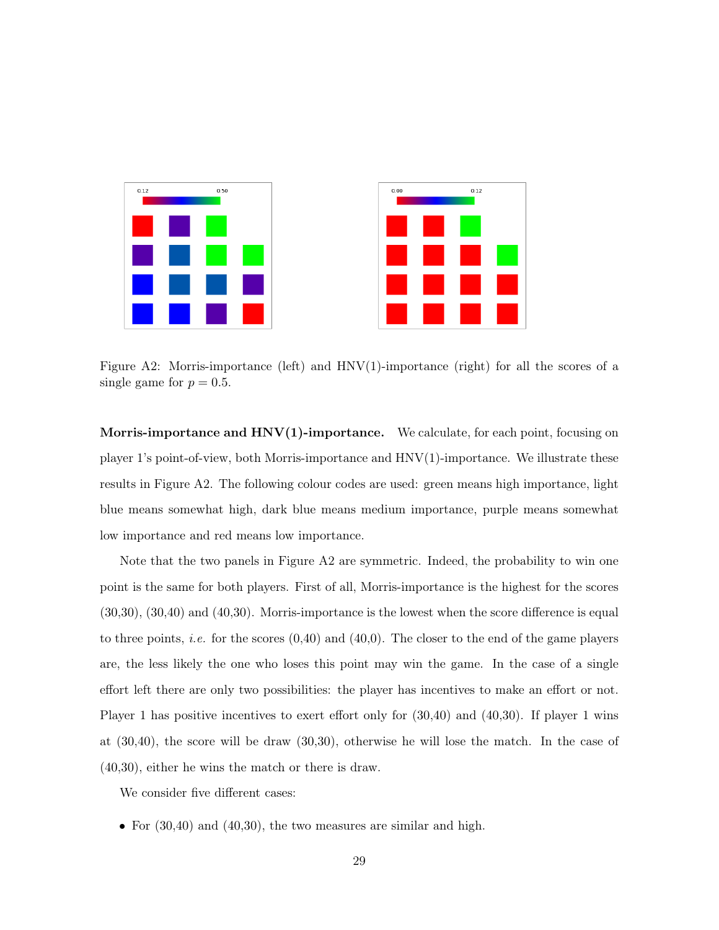

Figure A2: Morris-importance (left) and  $HNV(1)$ -importance (right) for all the scores of a single game for  $p = 0.5$ .

Morris-importance and  $HNV(1)$ -importance. We calculate, for each point, focusing on player 1's point-of-view, both Morris-importance and HNV(1)-importance. We illustrate these results in Figure A2. The following colour codes are used: green means high importance, light blue means somewhat high, dark blue means medium importance, purple means somewhat low importance and red means low importance.

Note that the two panels in Figure A2 are symmetric. Indeed, the probability to win one point is the same for both players. First of all, Morris-importance is the highest for the scores (30,30), (30,40) and (40,30). Morris-importance is the lowest when the score difference is equal to three points, *i.e.* for the scores  $(0,40)$  and  $(40,0)$ . The closer to the end of the game players are, the less likely the one who loses this point may win the game. In the case of a single effort left there are only two possibilities: the player has incentives to make an effort or not. Player 1 has positive incentives to exert effort only for (30,40) and (40,30). If player 1 wins at (30,40), the score will be draw (30,30), otherwise he will lose the match. In the case of (40,30), either he wins the match or there is draw.

We consider five different cases:

• For  $(30,40)$  and  $(40,30)$ , the two measures are similar and high.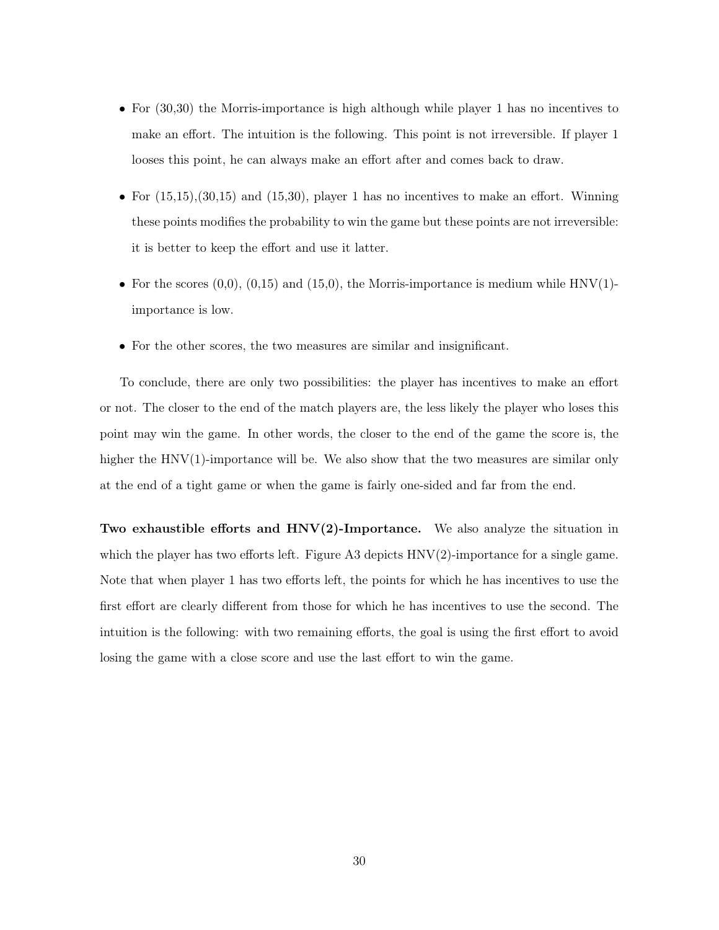- For (30,30) the Morris-importance is high although while player 1 has no incentives to make an effort. The intuition is the following. This point is not irreversible. If player 1 looses this point, he can always make an effort after and comes back to draw.
- For  $(15,15), (30,15)$  and  $(15,30),$  player 1 has no incentives to make an effort. Winning these points modifies the probability to win the game but these points are not irreversible: it is better to keep the effort and use it latter.
- For the scores  $(0,0)$ ,  $(0,15)$  and  $(15,0)$ , the Morris-importance is medium while HNV(1)importance is low.
- For the other scores, the two measures are similar and insignificant.

To conclude, there are only two possibilities: the player has incentives to make an effort or not. The closer to the end of the match players are, the less likely the player who loses this point may win the game. In other words, the closer to the end of the game the score is, the higher the HNV(1)-importance will be. We also show that the two measures are similar only at the end of a tight game or when the game is fairly one-sided and far from the end.

Two exhaustible efforts and  $HNV(2)$ -Importance. We also analyze the situation in which the player has two efforts left. Figure A3 depicts  $HNV(2)$ -importance for a single game. Note that when player 1 has two efforts left, the points for which he has incentives to use the first effort are clearly different from those for which he has incentives to use the second. The intuition is the following: with two remaining efforts, the goal is using the first effort to avoid losing the game with a close score and use the last effort to win the game.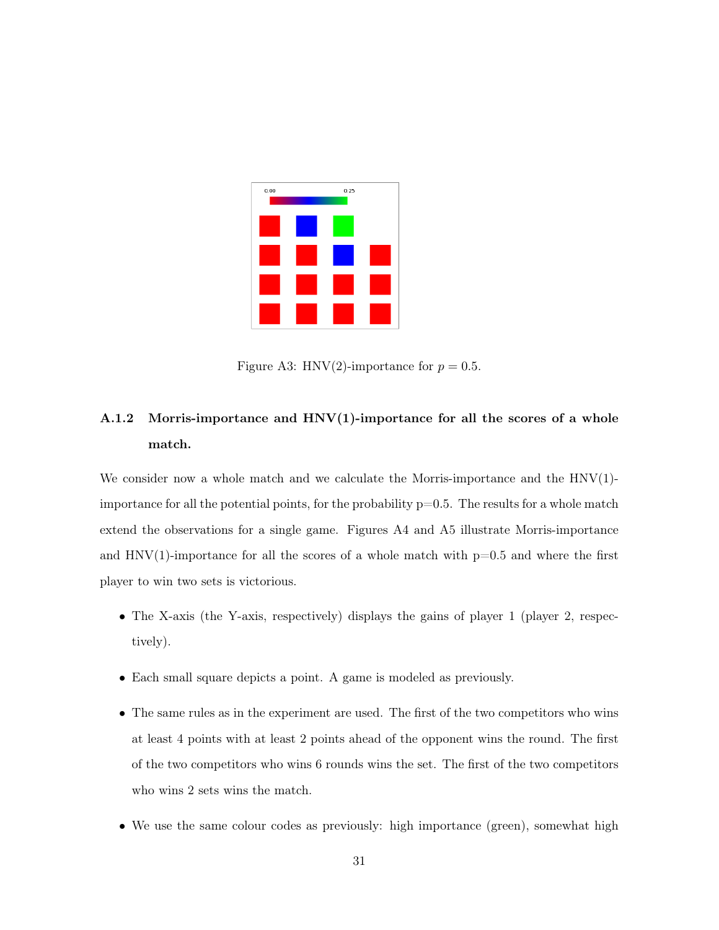

Figure A3: HNV(2)-importance for  $p = 0.5$ .

## A.1.2 Morris-importance and  $HNV(1)$ -importance for all the scores of a whole match.

We consider now a whole match and we calculate the Morris-importance and the  $HNV(1)$ importance for all the potential points, for the probability  $p=0.5$ . The results for a whole match extend the observations for a single game. Figures A4 and A5 illustrate Morris-importance and  $HNV(1)$ -importance for all the scores of a whole match with  $p=0.5$  and where the first player to win two sets is victorious.

- The X-axis (the Y-axis, respectively) displays the gains of player 1 (player 2, respectively).
- Each small square depicts a point. A game is modeled as previously.
- The same rules as in the experiment are used. The first of the two competitors who wins at least 4 points with at least 2 points ahead of the opponent wins the round. The first of the two competitors who wins 6 rounds wins the set. The first of the two competitors who wins 2 sets wins the match.
- We use the same colour codes as previously: high importance (green), somewhat high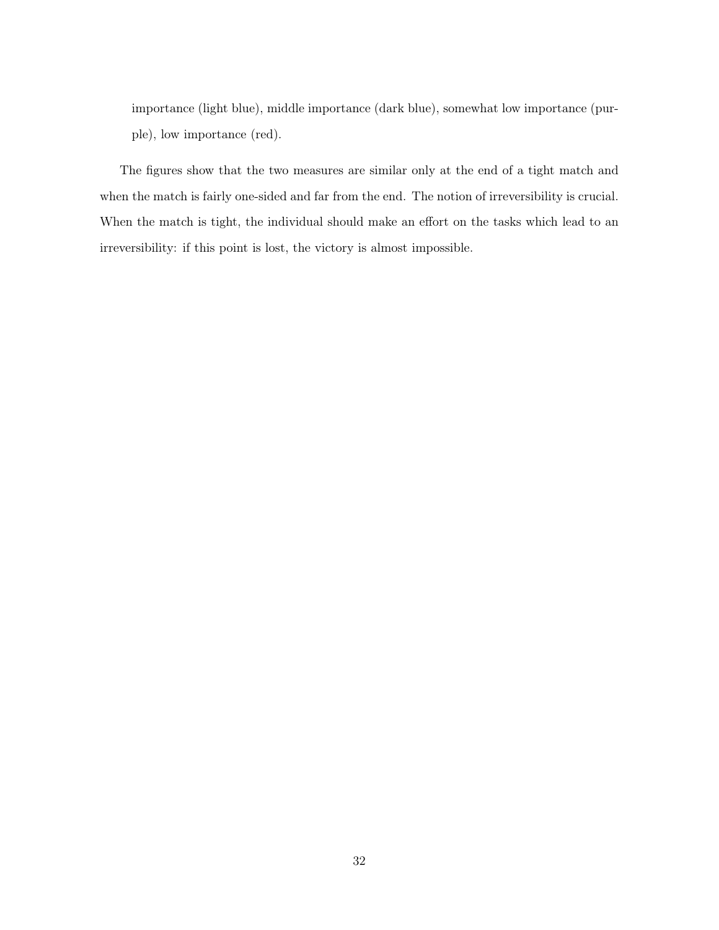importance (light blue), middle importance (dark blue), somewhat low importance (purple), low importance (red).

The figures show that the two measures are similar only at the end of a tight match and when the match is fairly one-sided and far from the end. The notion of irreversibility is crucial. When the match is tight, the individual should make an effort on the tasks which lead to an irreversibility: if this point is lost, the victory is almost impossible.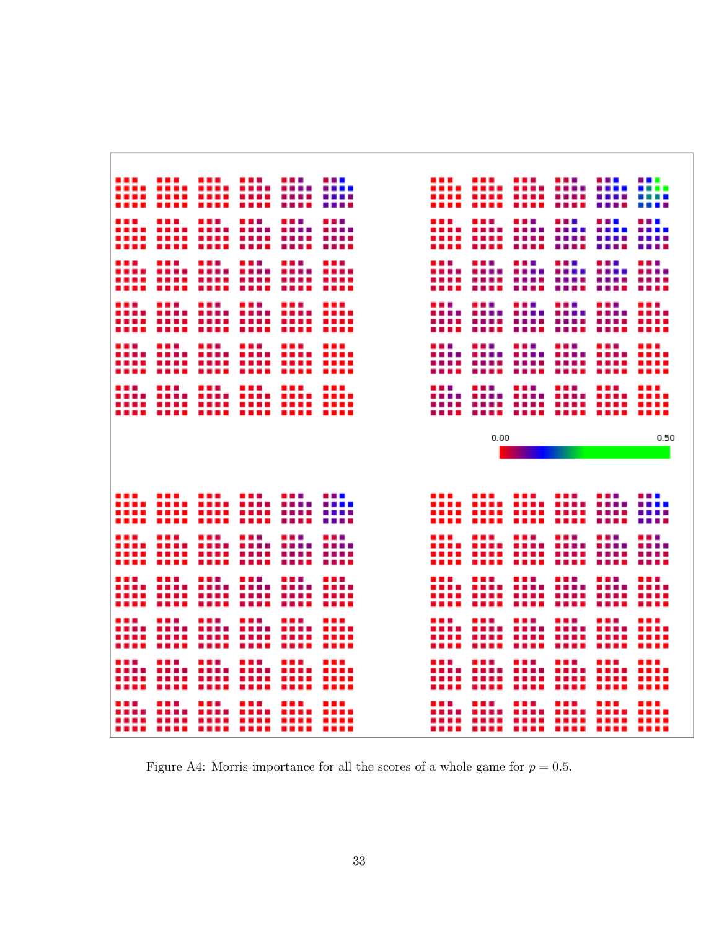|  | 0.00<br>0.50                         |  |
|--|--------------------------------------|--|
|  |                                      |  |
|  |                                      |  |
|  |                                      |  |
|  |                                      |  |
|  | <u> main main main an main main </u> |  |
|  |                                      |  |
|  |                                      |  |

Figure A4: Morris-importance for all the scores of a whole game for  $p = 0.5$ .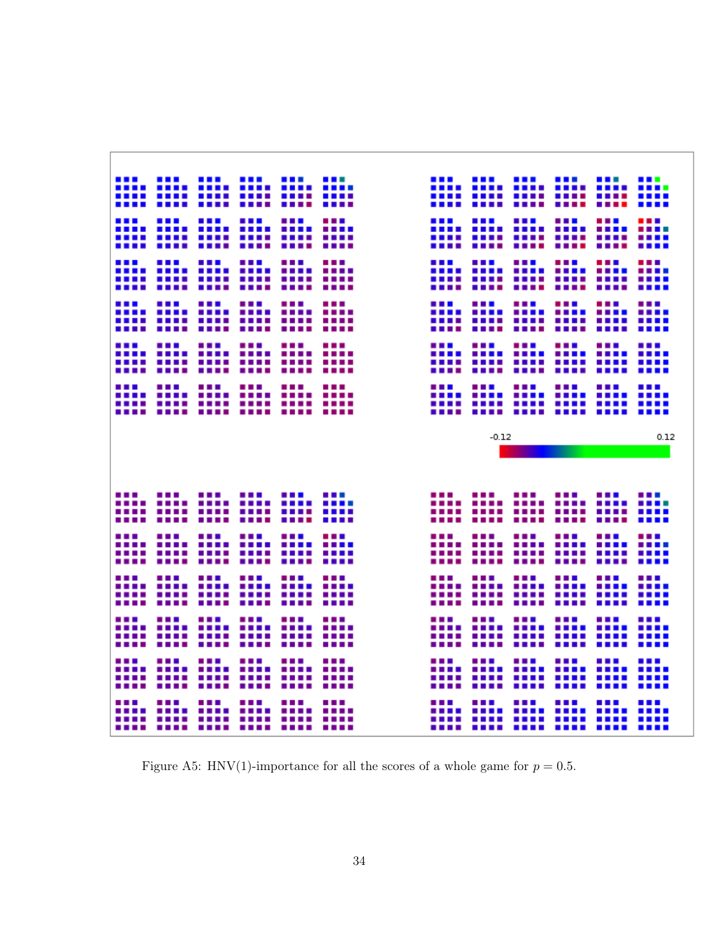|  |  |  |         | <br><b>Bandari</b> |                                                                      |      |
|--|--|--|---------|--------------------|----------------------------------------------------------------------|------|
|  |  |  |         |                    | <u> 1111 1111 1111 1111 1111</u><br><u> 1111 1111 1111 1111 1111</u> |      |
|  |  |  |         |                    | ---- ---- ---- ---- ----                                             |      |
|  |  |  |         |                    |                                                                      |      |
|  |  |  |         |                    |                                                                      |      |
|  |  |  |         |                    |                                                                      |      |
|  |  |  |         |                    |                                                                      |      |
|  |  |  |         |                    |                                                                      |      |
|  |  |  |         |                    |                                                                      |      |
|  |  |  |         |                    |                                                                      |      |
|  |  |  |         |                    |                                                                      |      |
|  |  |  |         |                    |                                                                      |      |
|  |  |  |         |                    |                                                                      |      |
|  |  |  |         |                    |                                                                      |      |
|  |  |  |         |                    |                                                                      |      |
|  |  |  |         |                    |                                                                      |      |
|  |  |  |         |                    |                                                                      |      |
|  |  |  |         |                    |                                                                      |      |
|  |  |  |         |                    |                                                                      |      |
|  |  |  |         |                    |                                                                      |      |
|  |  |  | $-0.12$ |                    |                                                                      | 0.12 |
|  |  |  |         |                    |                                                                      |      |
|  |  |  |         |                    |                                                                      |      |
|  |  |  |         |                    |                                                                      |      |
|  |  |  |         |                    |                                                                      |      |
|  |  |  |         |                    |                                                                      |      |
|  |  |  |         |                    |                                                                      |      |
|  |  |  |         |                    |                                                                      |      |
|  |  |  |         |                    |                                                                      |      |
|  |  |  |         |                    |                                                                      |      |
|  |  |  |         |                    |                                                                      |      |
|  |  |  |         |                    |                                                                      |      |
|  |  |  |         |                    |                                                                      |      |
|  |  |  |         |                    |                                                                      |      |
|  |  |  |         |                    |                                                                      |      |
|  |  |  |         |                    |                                                                      |      |
|  |  |  |         |                    |                                                                      |      |
|  |  |  |         |                    |                                                                      |      |
|  |  |  |         |                    |                                                                      |      |
|  |  |  |         |                    |                                                                      |      |
|  |  |  |         |                    |                                                                      |      |
|  |  |  |         |                    |                                                                      |      |
|  |  |  |         |                    |                                                                      |      |

Figure A5: HNV(1)-importance for all the scores of a whole game for  $p = 0.5$ .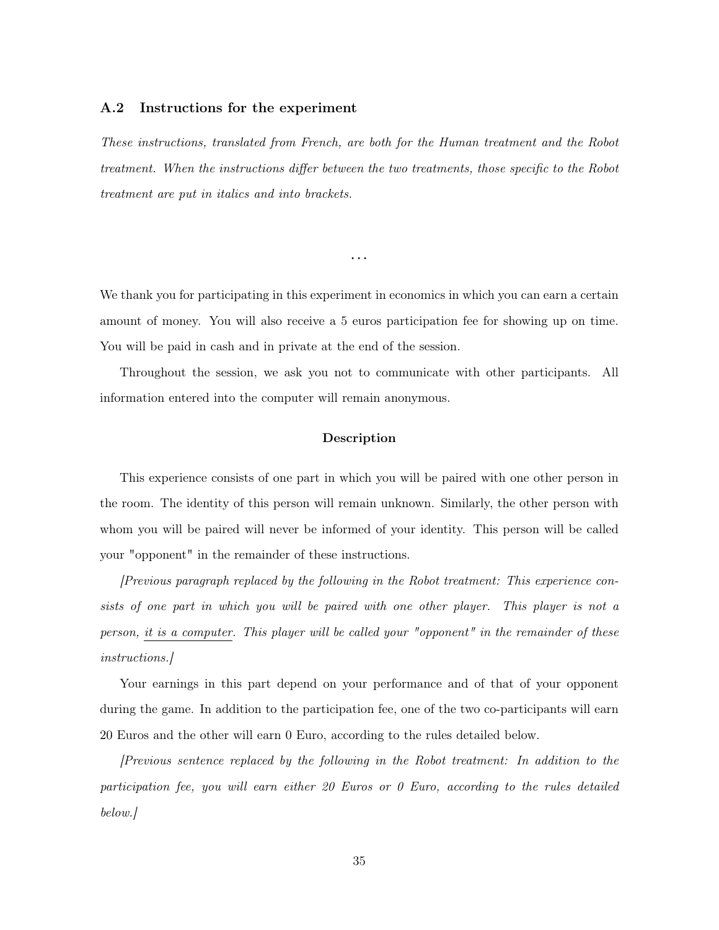#### A.2 Instructions for the experiment

These instructions, translated from French, are both for the Human treatment and the Robot treatment. When the instructions differ between the two treatments, those specific to the Robot treatment are put in italics and into brackets.

We thank you for participating in this experiment in economics in which you can earn a certain amount of money. You will also receive a 5 euros participation fee for showing up on time. You will be paid in cash and in private at the end of the session.

...

Throughout the session, we ask you not to communicate with other participants. All information entered into the computer will remain anonymous.

#### Description

This experience consists of one part in which you will be paired with one other person in the room. The identity of this person will remain unknown. Similarly, the other person with whom you will be paired will never be informed of your identity. This person will be called your "opponent" in the remainder of these instructions.

[Previous paragraph replaced by the following in the Robot treatment: This experience consists of one part in which you will be paired with one other player. This player is not a person, it is a computer. This player will be called your "opponent" in the remainder of these instructions.]

Your earnings in this part depend on your performance and of that of your opponent during the game. In addition to the participation fee, one of the two co-participants will earn 20 Euros and the other will earn 0 Euro, according to the rules detailed below.

[Previous sentence replaced by the following in the Robot treatment: In addition to the participation fee, you will earn either 20 Euros or 0 Euro, according to the rules detailed below.]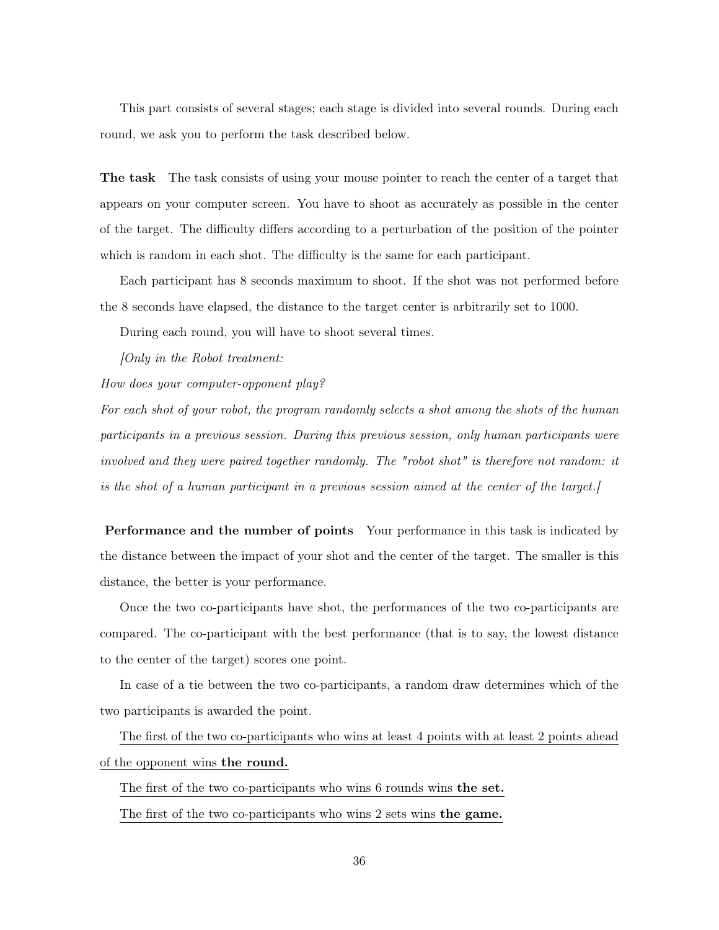This part consists of several stages; each stage is divided into several rounds. During each round, we ask you to perform the task described below.

The task The task consists of using your mouse pointer to reach the center of a target that appears on your computer screen. You have to shoot as accurately as possible in the center of the target. The difficulty differs according to a perturbation of the position of the pointer which is random in each shot. The difficulty is the same for each participant.

Each participant has 8 seconds maximum to shoot. If the shot was not performed before the 8 seconds have elapsed, the distance to the target center is arbitrarily set to 1000.

During each round, you will have to shoot several times.

[Only in the Robot treatment:

How does your computer-opponent play?

For each shot of your robot, the program randomly selects a shot among the shots of the human participants in a previous session. During this previous session, only human participants were involved and they were paired together randomly. The "robot shot" is therefore not random: it is the shot of a human participant in a previous session aimed at the center of the target.]

Performance and the number of points Your performance in this task is indicated by the distance between the impact of your shot and the center of the target. The smaller is this distance, the better is your performance.

Once the two co-participants have shot, the performances of the two co-participants are compared. The co-participant with the best performance (that is to say, the lowest distance to the center of the target) scores one point.

In case of a tie between the two co-participants, a random draw determines which of the two participants is awarded the point.

The first of the two co-participants who wins at least 4 points with at least 2 points ahead of the opponent wins the round.

The first of the two co-participants who wins 6 rounds wins the set.

The first of the two co-participants who wins 2 sets wins the game.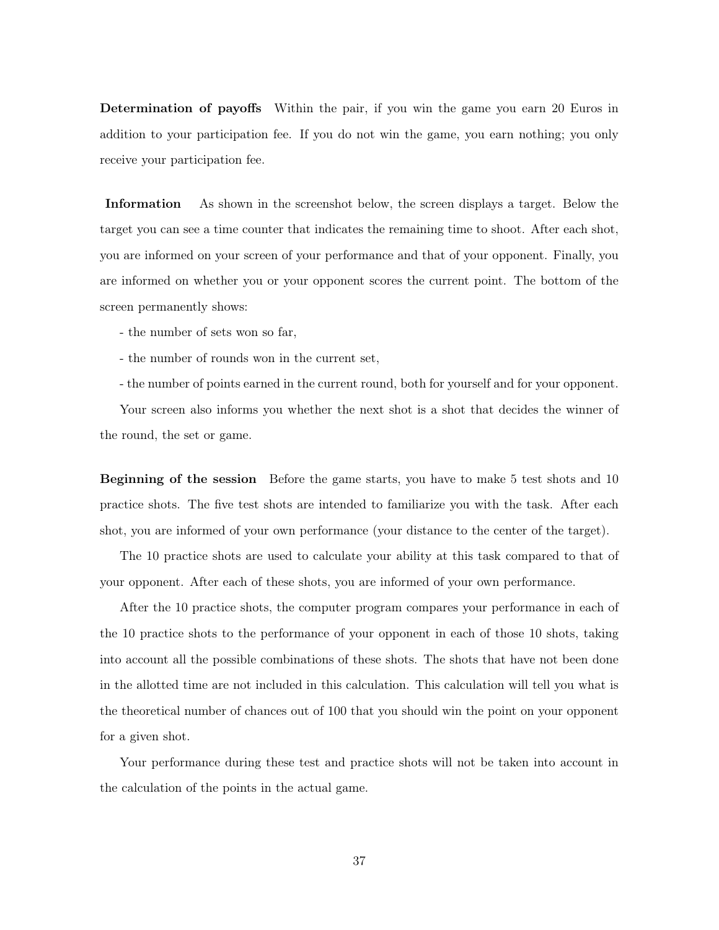Determination of payoffs Within the pair, if you win the game you earn 20 Euros in addition to your participation fee. If you do not win the game, you earn nothing; you only receive your participation fee.

Information As shown in the screenshot below, the screen displays a target. Below the target you can see a time counter that indicates the remaining time to shoot. After each shot, you are informed on your screen of your performance and that of your opponent. Finally, you are informed on whether you or your opponent scores the current point. The bottom of the screen permanently shows:

- the number of sets won so far,
- the number of rounds won in the current set,
- the number of points earned in the current round, both for yourself and for your opponent.

Your screen also informs you whether the next shot is a shot that decides the winner of the round, the set or game.

Beginning of the session Before the game starts, you have to make 5 test shots and 10 practice shots. The five test shots are intended to familiarize you with the task. After each shot, you are informed of your own performance (your distance to the center of the target).

The 10 practice shots are used to calculate your ability at this task compared to that of your opponent. After each of these shots, you are informed of your own performance.

After the 10 practice shots, the computer program compares your performance in each of the 10 practice shots to the performance of your opponent in each of those 10 shots, taking into account all the possible combinations of these shots. The shots that have not been done in the allotted time are not included in this calculation. This calculation will tell you what is the theoretical number of chances out of 100 that you should win the point on your opponent for a given shot.

Your performance during these test and practice shots will not be taken into account in the calculation of the points in the actual game.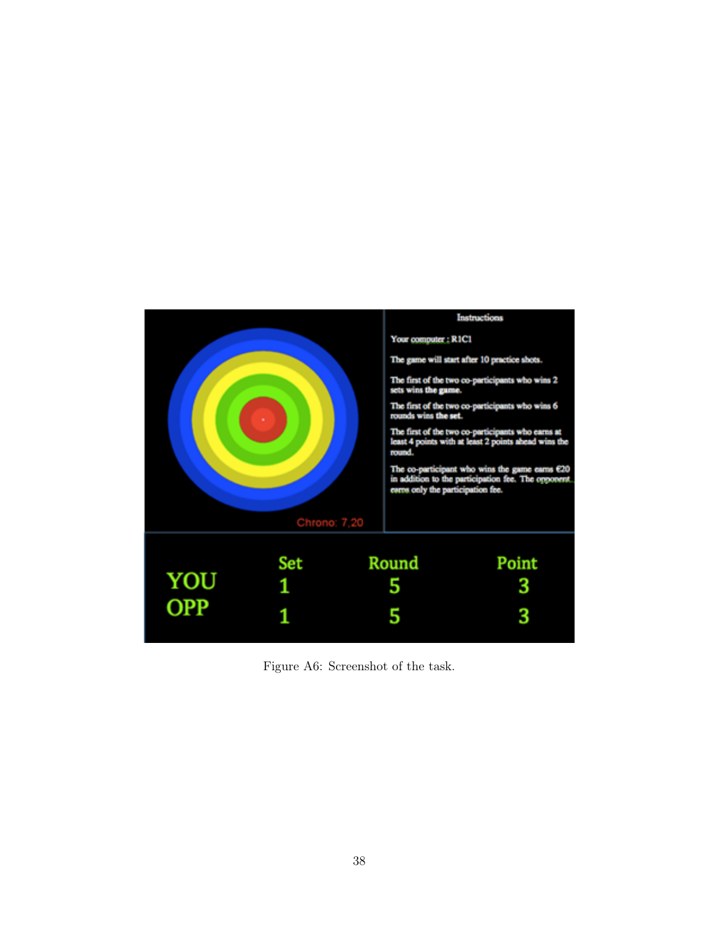

Figure A6: Screenshot of the task.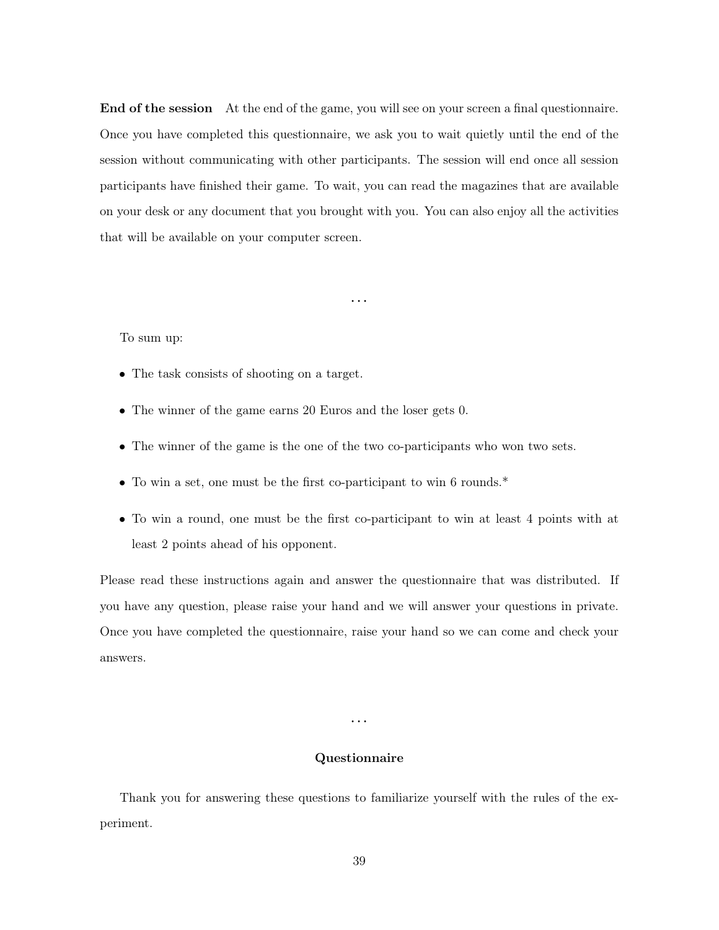End of the session At the end of the game, you will see on your screen a final questionnaire. Once you have completed this questionnaire, we ask you to wait quietly until the end of the session without communicating with other participants. The session will end once all session participants have finished their game. To wait, you can read the magazines that are available on your desk or any document that you brought with you. You can also enjoy all the activities that will be available on your computer screen.

...

To sum up:

- The task consists of shooting on a target.
- The winner of the game earns 20 Euros and the loser gets 0.
- The winner of the game is the one of the two co-participants who won two sets.
- To win a set, one must be the first co-participant to win 6 rounds.\*
- To win a round, one must be the first co-participant to win at least 4 points with at least 2 points ahead of his opponent.

Please read these instructions again and answer the questionnaire that was distributed. If you have any question, please raise your hand and we will answer your questions in private. Once you have completed the questionnaire, raise your hand so we can come and check your answers.

...

#### Questionnaire

Thank you for answering these questions to familiarize yourself with the rules of the experiment.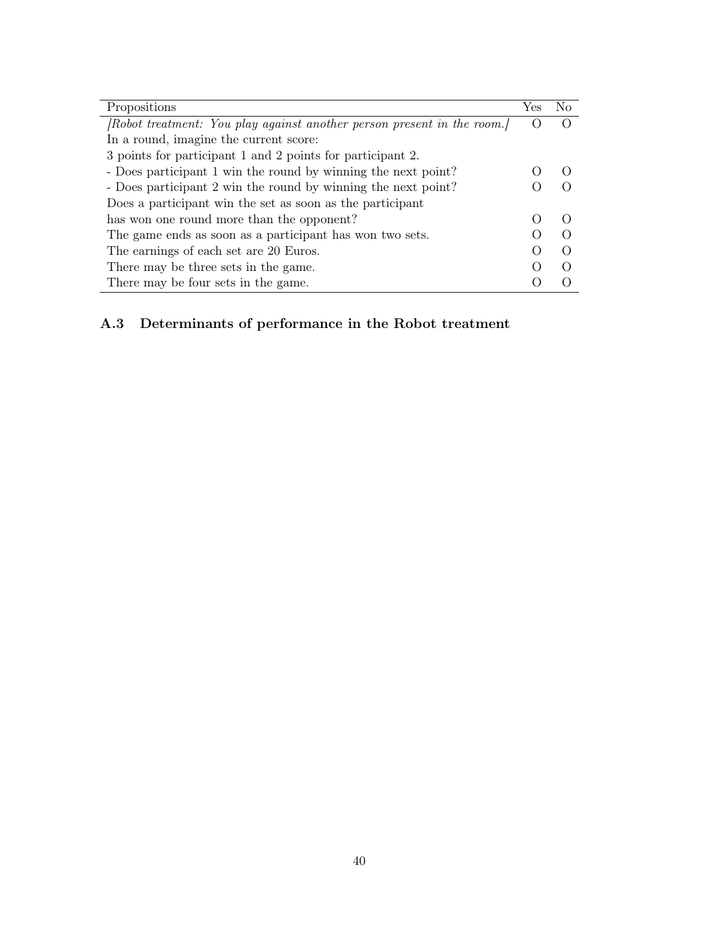| Propositions                                                            | Yes | Nο |
|-------------------------------------------------------------------------|-----|----|
| [Robot treatment: You play against another person present in the room.] |     |    |
| In a round, imagine the current score:                                  |     |    |
| 3 points for participant 1 and 2 points for participant 2.              |     |    |
| - Does participant 1 win the round by winning the next point?           |     |    |
| - Does participant 2 win the round by winning the next point?           |     |    |
| Does a participant win the set as soon as the participant               |     |    |
| has won one round more than the opponent?                               |     |    |
| The game ends as soon as a participant has won two sets.                |     |    |
| The earnings of each set are 20 Euros.                                  |     |    |
| There may be three sets in the game.                                    |     |    |
| There may be four sets in the game.                                     |     |    |

## A.3 Determinants of performance in the Robot treatment